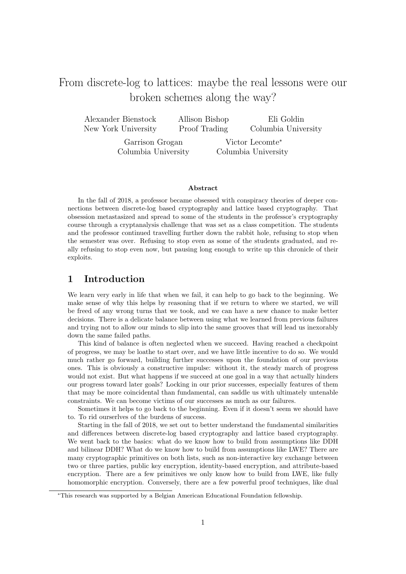# From discrete-log to lattices: maybe the real lessons were our broken schemes along the way?

| Alexander Bienstock | Allison Bishop | Eli Goldin          |  |
|---------------------|----------------|---------------------|--|
| New York University | Proof Trading  | Columbia University |  |
| Garrison Grogan     |                | Victor Lecomte*     |  |
| Columbia University |                | Columbia University |  |

#### Abstract

In the fall of 2018, a professor became obsessed with conspiracy theories of deeper connections between discrete-log based cryptography and lattice based cryptography. That obsession metastasized and spread to some of the students in the professor's cryptography course through a cryptanalysis challenge that was set as a class competition. The students and the professor continued travelling further down the rabbit hole, refusing to stop when the semester was over. Refusing to stop even as some of the students graduated, and really refusing to stop even now, but pausing long enough to write up this chronicle of their exploits.

### 1 Introduction

We learn very early in life that when we fail, it can help to go back to the beginning. We make sense of why this helps by reasoning that if we return to where we started, we will be freed of any wrong turns that we took, and we can have a new chance to make better decisions. There is a delicate balance between using what we learned from previous failures and trying not to allow our minds to slip into the same grooves that will lead us inexorably down the same failed paths.

This kind of balance is often neglected when we succeed. Having reached a checkpoint of progress, we may be loathe to start over, and we have little incentive to do so. We would much rather go forward, building further successes upon the foundation of our previous ones. This is obviously a constructive impulse: without it, the steady march of progress would not exist. But what happens if we succeed at one goal in a way that actually hinders our progress toward later goals? Locking in our prior successes, especially features of them that may be more coincidental than fundamental, can saddle us with ultimately untenable constraints. We can become victims of our successes as much as our failures.

Sometimes it helps to go back to the beginning. Even if it doesn't seem we should have to. To rid ourserlves of the burdens of success.

Starting in the fall of 2018, we set out to better understand the fundamental similarities and differences between discrete-log based cryptography and lattice based cryptography. We went back to the basics: what do we know how to build from assumptions like DDH and bilinear DDH? What do we know how to build from assumptions like LWE? There are many cryptographic primitives on both lists, such as non-interactive key exchange between two or three parties, public key encryption, identity-based encryption, and attribute-based encryption. There are a few primitives we only know how to build from LWE, like fully homomorphic encryption. Conversely, there are a few powerful proof techniques, like dual

<sup>∗</sup>This research was supported by a Belgian American Educational Foundation fellowship.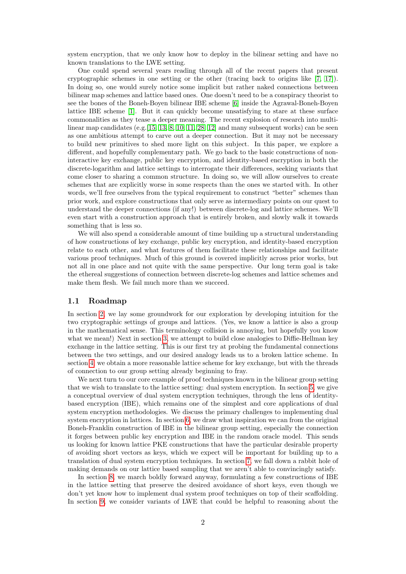system encryption, that we only know how to deploy in the bilinear setting and have no known translations to the LWE setting.

One could spend several years reading through all of the recent papers that present cryptographic schemes in one setting or the other (tracing back to origins like [\[7,](#page-37-0) [17\]](#page-37-1)). In doing so, one would surely notice some implicit but rather naked connections between bilinear map schemes and lattice based ones. One doesn't need to be a conspiracy theorist to see the bones of the Boneh-Boyen bilinear IBE scheme [\[6\]](#page-37-2) inside the Agrawal-Boneh-Boyen lattice IBE scheme [\[1\]](#page-37-3). But it can quickly become unsatisfying to stare at these surface commonalities as they tease a deeper meaning. The recent explosion of research into multilinear map candidates (e.g.  $[15, 13, 8, 10, 11, 28, 12]$  $[15, 13, 8, 10, 11, 28, 12]$  $[15, 13, 8, 10, 11, 28, 12]$  $[15, 13, 8, 10, 11, 28, 12]$  $[15, 13, 8, 10, 11, 28, 12]$  $[15, 13, 8, 10, 11, 28, 12]$  $[15, 13, 8, 10, 11, 28, 12]$  and many subsequent works) can be seen as one ambitious attempt to carve out a deeper connection. But it may not be necessary to build new primitives to shed more light on this subject. In this paper, we explore a different, and hopefully complementary path. We go back to the basic constructions of noninteractive key exchange, public key encryption, and identity-based encryption in both the discrete-logarithm and lattice settings to interrogate their differences, seeking variants that come closer to sharing a common structure. In doing so, we will allow ourselves to create schemes that are explicitly worse in some respects than the ones we started with. In other words, we'll free ourselves from the typical requirement to construct "better" schemes than prior work, and explore constructions that only serve as intermediary points on our quest to understand the deeper connections (if any!) between discrete-log and lattice schemes. We'll even start with a construction approach that is entirely broken, and slowly walk it towards something that is less so.

We will also spend a considerable amount of time building up a structural understanding of how constructions of key exchange, public key encryption, and identity-based encryption relate to each other, and what features of them facilitate these relationships and facilitate various proof techniques. Much of this ground is covered implicitly across prior works, but not all in one place and not quite with the same perspective. Our long term goal is take the ethereal suggestions of connection between discrete-log schemes and lattice schemes and make them flesh. We fail much more than we succeed.

#### 1.1 Roadmap

In section [2,](#page-2-0) we lay some groundwork for our exploration by developing intuition for the two cryptographic settings of groups and lattices. (Yes, we know a lattice is also a group in the mathematical sense. This terminology collision is annoying, but hopefully you know what we mean!) Next in section [3,](#page-5-0) we attempt to build close analogies to Diffie-Hellman key exchange in the lattice setting. This is our first try at probing the fundamental connections between the two settings, and our desired analogy leads us to a broken lattice scheme. In section [4,](#page-10-0) we obtain a more reasonable lattice scheme for key exchange, but with the threads of connection to our group setting already beginning to fray.

We next turn to our core example of proof techniques known in the bilinear group setting that we wish to translate to the lattice setting: dual system encryption. In section [5,](#page-12-0) we give a conceptual overview of dual system encryption techniques, through the lens of identitybased encryption (IBE), which remains one of the simplest and core applications of dual system encryption methodologies. We discuss the primary challenges to implementing dual system encryption in lattices. In section [6,](#page-16-0) we draw what inspiration we can from the original Boneh-Franklin construction of IBE in the bilinear group setting, especially the connection it forges between public key encryption and IBE in the random oracle model. This sends us looking for known lattice PKE constructions that have the particular desirable property of avoiding short vectors as keys, which we expect will be important for building up to a translation of dual system encryption techniques. In section [7,](#page-19-0) we fall down a rabbit hole of making demands on our lattice based sampling that we aren't able to convincingly satisfy.

In section [8,](#page-23-0) we march boldly forward anyway, formulating a few constructions of IBE in the lattice setting that preserve the desired avoidance of short keys, even though we don't yet know how to implement dual system proof techniques on top of their scaffolding. In section [9,](#page-29-0) we consider variants of LWE that could be helpful to reasoning about the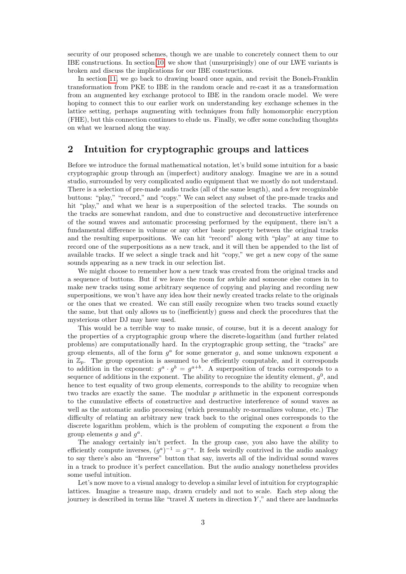security of our proposed schemes, though we are unable to concretely connect them to our IBE constructions. In section [10,](#page-32-0) we show that (unsurprisingly) one of our LWE variants is broken and discuss the implications for our IBE constructions.

In section [11,](#page-33-0) we go back to drawing board once again, and revisit the Boneh-Franklin transformation from PKE to IBE in the random oracle and re-cast it as a transformation from an augmented key exchange protocol to IBE in the random oracle model. We were hoping to connect this to our earlier work on understanding key exchange schemes in the lattice setting, perhaps augmenting with techniques from fully homomorphic encryption (FHE), but this connection continues to elude us. Finally, we offer some concluding thoughts on what we learned along the way.

### <span id="page-2-0"></span>2 Intuition for cryptographic groups and lattices

Before we introduce the formal mathematical notation, let's build some intuition for a basic cryptographic group through an (imperfect) auditory analogy. Imagine we are in a sound studio, surrounded by very complicated audio equipment that we mostly do not understand. There is a selection of pre-made audio tracks (all of the same length), and a few recognizable buttons: "play," "record," and "copy." We can select any subset of the pre-made tracks and hit "play," and what we hear is a superposition of the selected tracks. The sounds on the tracks are somewhat random, and due to constructive and deconstructive interference of the sound waves and automatic processing performed by the equipment, there isn't a fundamental difference in volume or any other basic property between the original tracks and the resulting superpositions. We can hit "record" along with "play" at any time to record one of the superpositions as a new track, and it will then be appended to the list of available tracks. If we select a single track and hit "copy," we get a new copy of the same sounds appearing as a new track in our selection list.

We might choose to remember how a new track was created from the original tracks and a sequence of buttons. But if we leave the room for awhile and someone else comes in to make new tracks using some arbitrary sequence of copying and playing and recording new superpositions, we won't have any idea how their newly created tracks relate to the originals or the ones that we created. We can still easily recognize when two tracks sound exactly the same, but that only allows us to (inefficiently) guess and check the procedures that the mysterious other DJ may have used.

This would be a terrible way to make music, of course, but it is a decent analogy for the properties of a cryptographic group where the discrete-logarithm (and further related problems) are computationally hard. In the cryptographic group setting, the "tracks" are group elements, all of the form  $g^a$  for some generator g, and some unknown exponent a in  $\mathbb{Z}_p$ . The group operation is assumed to be efficiently computable, and it corresponds to addition in the exponent:  $g^a \cdot g^b = g^{a+b}$ . A superposition of tracks corresponds to a sequence of additions in the exponent. The ability to recognize the identity element,  $g^0$ , and hence to test equality of two group elements, corresponds to the ability to recognize when two tracks are exactly the same. The modular  $p$  arithmetic in the exponent corresponds to the cumulative effects of constructive and destructive interference of sound waves as well as the automatic audio processing (which presumably re-normalizes volume, etc.) The difficulty of relating an arbitrary new track back to the original ones corresponds to the discrete logarithm problem, which is the problem of computing the exponent a from the group elements  $g$  and  $g^a$ .

The analogy certainly isn't perfect. In the group case, you also have the ability to efficiently compute inverses,  $(g^a)^{-1} = g^{-a}$ . It feels weirdly contrived in the audio analogy to say there's also an "Inverse" button that say, inverts all of the individual sound waves in a track to produce it's perfect cancellation. But the audio analogy nonetheless provides some useful intuition.

Let's now move to a visual analogy to develop a similar level of intuition for cryptographic lattices. Imagine a treasure map, drawn crudely and not to scale. Each step along the journey is described in terms like "travel  $X$  meters in direction  $Y$ ," and there are landmarks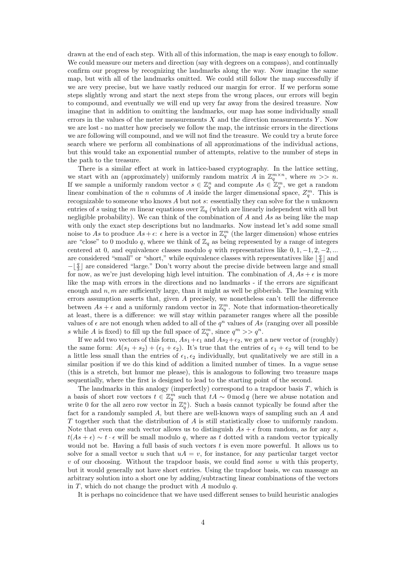drawn at the end of each step. With all of this information, the map is easy enough to follow. We could measure our meters and direction (say with degrees on a compass), and continually confirm our progress by recognizing the landmarks along the way. Now imagine the same map, but with all of the landmarks omitted. We could still follow the map successfully if we are very precise, but we have vastly reduced our margin for error. If we perform some steps slightly wrong and start the next steps from the wrong places, our errors will begin to compound, and eventually we will end up very far away from the desired treasure. Now imagine that in addition to omitting the landmarks, our map has some individually small errors in the values of the meter measurements  $X$  and the direction measurements  $Y$ . Now we are lost - no matter how precisely we follow the map, the intrinsic errors in the directions we are following will compound, and we will not find the treasure. We could try a brute force search where we perform all combinations of all approximations of the individual actions, but this would take an exponential number of attempts, relative to the number of steps in the path to the treasure.

There is a similar effect at work in lattice-based cryptography. In the lattice setting, we start with an (approximately) uniformly random matrix A in  $\mathbb{Z}_a^{m \times n}$ , where  $m >> n$ . We start with an (approximately) uniformly random matrix A in  $\mathbb{Z}_q$ , where  $m >> n$ .<br>If we sample a uniformly random vector  $s \in \mathbb{Z}_q^n$  and compute  $As \in \mathbb{Z}_q^m$ , we get a random linear combination of the *n* columns of *A* inside the larger dimensional space,  $Z_q^m$ . This is recognizable to someone who knows  $A$  but not  $s$ : essentially they can solve for the  $n$  unknown entries of s using the m linear equations over  $\mathbb{Z}_q$  (which are linearly independent with all but negligible probability). We can think of the combination of  $A$  and  $As$  as being like the map with only the exact step descriptions but no landmarks. Now instead let's add some small noise to As to produce  $As + \epsilon$ :  $\epsilon$  here is a vector in  $\mathbb{Z}_q^m$  (the larger dimension) whose entries are "close" to 0 modulo q, where we think of  $\mathbb{Z}_q$  as being represented by a range of integers centered at 0, and equivalence classes modulo q with representatives like  $0, 1, -1, 2, -2, ...$ are considered "small" or "short," while equivalence classes with representatives like  $\lfloor \frac{q}{3} \rfloor$  and  $-\lfloor \frac{q}{3} \rfloor$  are considered "large." Don't worry about the precise divide between large and small for now, as we're just developing high level intuition. The combination of  $A, As + \epsilon$  is more like the map with errors in the directions and no landmarks - if the errors are significant enough and  $n, m$  are sufficiently large, than it might as well be gibberish. The learning with errors assumption asserts that, given  $A$  precisely, we nonetheless can't telll the difference between  $As + \epsilon$  and a uniformly random vector in  $\mathbb{Z}_q^m$ . Note that information-theoretically at least, there is a difference: we will stay within parameter ranges where all the possible values of  $\epsilon$  are not enough when added to all of the  $q^n$  values of As (ranging over all possible s while A is fixed) to fill up the full space of  $\mathbb{Z}_q^m$ , since  $q^m \gg q^n$ .

If we add two vectors of this form,  $As_1+\epsilon_1$  and  $As_2+\epsilon_2$ , we get a new vector of (roughly) the same form:  $A(s_1 + s_2) + (\epsilon_1 + \epsilon_2)$ . It's true that the entries of  $\epsilon_1 + \epsilon_2$  will tend to be a little less small than the entries of  $\epsilon_1, \epsilon_2$  individually, but qualitatively we are still in a similar position if we do this kind of addition a limited number of times. In a vague sense (this is a stretch, but humor me please), this is analogous to following two treasure maps sequentially, where the first is designed to lead to the starting point of the second.

The landmarks in this analogy (imperfectly) correspond to a trapdoor basis  $T$ , which is a basis of short row vectors  $t \in \mathbb{Z}_q^m$  such that  $tA \sim 0 \mod q$  (here we abuse notation and write 0 for the all zero row vector in  $\mathbb{Z}_q^n$ ). Such a basis cannot typically be found after the fact for a randomly sampled A, but there are well-known ways of sampling such an A and T together such that the distribution of A is still statistically close to uniformly random. Note that even one such vector allows us to distinguish  $As + \epsilon$  from random, as for any s,  $t(As + \epsilon) \sim t \cdot \epsilon$  will be small modulo q, where as t dotted with a random vector typically would not be. Having a full basis of such vectors  $t$  is even more powerful. It allows us to solve for a small vector u such that  $uA = v$ , for instance, for any particular target vector  $v$  of our choosing. Without the trapdoor basis, we could find some u with this property, but it would generally not have short entries. Using the trapdoor basis, we can massage an arbitrary solution into a short one by adding/subtracting linear combinations of the vectors in  $T$ , which do not change the product with  $A$  modulo  $q$ .

It is perhaps no coincidence that we have used different senses to build heuristic analogies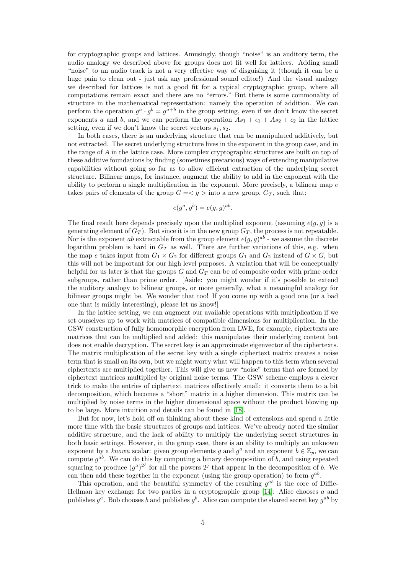for cryptographic groups and lattices. Amusingly, though "noise" is an auditory term, the audio analogy we described above for groups does not fit well for lattices. Adding small "noise" to an audio track is not a very effective way of disguising it (though it can be a huge pain to clean out - just ask any professional sound editor!) And the visual analogy we described for lattices is not a good fit for a typical cryptographic group, where all computations remain exact and there are no "errors." But there is some commonality of structure in the mathematical representation: namely the operation of addition. We can perform the operation  $g^a \cdot g^b = g^{a+b}$  in the group setting, even if we don't know the secret exponents a and b, and we can perform the operation  $As_1 + \epsilon_1 + As_2 + \epsilon_2$  in the lattice setting, even if we don't know the secret vectors  $s_1, s_2$ .

In both cases, there is an underlying structure that can be manipulated additively, but not extracted. The secret underlying structure lives in the exponent in the group case, and in the range of A in the lattice case. More complex cryptographic structures are built on top of these additive foundations by finding (sometimes precarious) ways of extending manipulative capabilities without going so far as to allow efficient extraction of the underlying secret structure. Bilinear maps, for instance, augment the ability to add in the exponent with the ability to perform a single multiplication in the exponent. More precisely, a bilinear map  $e$ takes pairs of elements of the group  $G = \langle q \rangle$  into a new group,  $G_T$ , such that:

$$
e(g^a, g^b) = e(g, g)^{ab}.
$$

The final result here depends precisely upon the multiplied exponent (assuming  $e(g, g)$  is a generating element of  $G_T$ ). But since it is in the new group  $G_T$ , the process is not repeatable. Nor is the exponent ab extractable from the group element  $e(g, g)^{ab}$  - we assume the discrete logarithm problem is hard in  $G_T$  as well. There are further variations of this, e.g. when the map e takes input from  $G_1 \times G_2$  for different groups  $G_1$  and  $G_2$  instead of  $G \times G$ , but this will not be important for our high level purposes. A variation that will be conceptually helpful for us later is that the groups  $G$  and  $G_T$  can be of composite order with prime order subgroups, rather than prime order. [Aside: you might wonder if it's possible to extend the auditory analogy to bilinear groups, or more generally, what a meaningful analogy for bilinear groups might be. We wonder that too! If you come up with a good one (or a bad one that is mildly interesting), please let us know!]

In the lattice setting, we can augment our available operations with multiplication if we set ourselves up to work with matrices of compatible dimensions for multiplication. In the GSW construction of fully homomorphic encryption from LWE, for example, ciphertexts are matrices that can be multiplied and added: this manipulates their underlying content but does not enable decryption. The secret key is an approximate eigenvector of the ciphertexts. The matrix multiplication of the secret key with a single ciphertext matrix creates a noise term that is small on its own, but we might worry what will happen to this term when several ciphertexts are multiplied together. This will give us new "noise" terms that are formed by ciphertext matrices multiplied by original noise terms. The GSW scheme employs a clever trick to make the entries of ciphertext matrices effectively small: it converts them to a bit decomposition, which becomes a "short" matrix in a higher dimension. This matrix can be multiplied by noise terms in the higher dimensional space without the product blowing up to be large. More intuition and details can be found in [\[18\]](#page-38-1).

But for now, let's hold off on thinking about these kind of extensions and spend a little more time with the basic structures of groups and lattices. We've already noted the similar additive structure, and the lack of ability to multiply the underlying secret structures in both basic settings. However, in the group case, there is an ability to multiply an unknown exponent by a known scalar: given group elements g and  $g^a$  and an exponent  $b \in \mathbb{Z}_p$ , we can compute  $g^{ab}$ . We can do this by computing a binary decomposition of b, and using repeated squaring to produce  $(g^a)^{2^j}$  for all the powers  $2^j$  that appear in the decomposition of b. We can then add these together in the exponent (using the group operation) to form  $g^{ab}$ .

This operation, and the beautiful symmetry of the resulting  $g^{ab}$  is the core of Diffie-Hellman key exchange for two parties in a cryptographic group [\[14\]](#page-37-10): Alice chooses a and publishes  $g^a$ . Bob chooses b and publishes  $g^b$ . Alice can compute the shared secret key  $g^{ab}$  by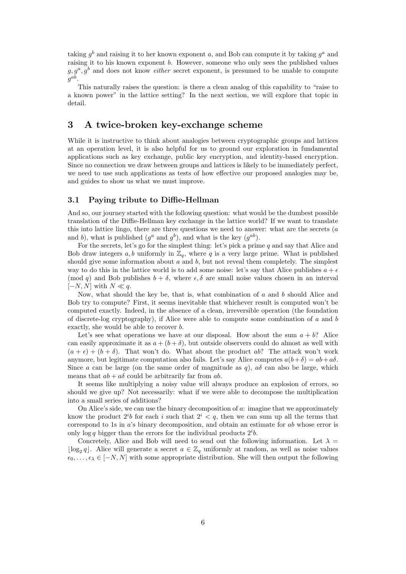taking  $g^b$  and raising it to her known exponent a, and Bob can compute it by taking  $g^a$  and raising it to his known exponent b. However, someone who only sees the published values  $g, g^a, g^b$  and does not know *either* secret exponent, is presumed to be unable to compute  $g^{ab}$ .

This naturally raises the question: is there a clean analog of this capability to "raise to a known power" in the lattice setting? In the next section, we will explore that topic in detail.

### <span id="page-5-0"></span>3 A twice-broken key-exchange scheme

While it is instructive to think about analogies between cryptographic groups and lattices at an operation level, it is also helpful for us to ground our exploration in fundamental applications such as key exchange, public key encryption, and identity-based encryption. Since no connection we draw between groups and lattices is likely to be immediately perfect, we need to use such applications as tests of how effective our proposed analogies may be, and guides to show us what we must improve.

#### <span id="page-5-1"></span>3.1 Paying tribute to Diffie-Hellman

And so, our journey started with the following question: what would be the dumbest possible translation of the Diffie-Hellman key exchange in the lattice world? If we want to translate this into lattice lingo, there are three questions we need to answer: what are the secrets ( $a$ and b), what is published  $(g^a \text{ and } g^b)$ , and what is the key  $(g^{ab})$ .

For the secrets, let's go for the simplest thing: let's pick a prime  $q$  and say that Alice and Bob draw integers  $a, b$  uniformly in  $\mathbb{Z}_q$ , where q is a very large prime. What is published should give some information about  $a$  and  $b$ , but not reveal them completely. The simplest way to do this in the lattice world is to add some noise: let's say that Alice publishes  $a + \epsilon$ (mod q) and Bob publishes  $b + \delta$ , where  $\epsilon, \delta$  are small noise values chosen in an interval  $[-N, N]$  with  $N \ll q$ .

Now, what should the key be, that is, what combination of  $a$  and  $b$  should Alice and Bob try to compute? First, it seems inevitable that whichever result is computed won't be computed exactly. Indeed, in the absence of a clean, irreversible operation (the foundation of discrete-log cryptography), if Alice were able to compute some combination of a and b exactly, she would be able to recover b.

Let's see what operations we have at our disposal. How about the sum  $a + b$ ? Alice can easily approximate it as  $a + (b + \delta)$ , but outside observers could do almost as well with  $(a + \epsilon) + (b + \delta)$ . That won't do. What about the product ab? The attack won't work anymore, but legitimate computation also fails. Let's say Alice computes  $a(b+\delta) = ab + a\delta$ . Since a can be large (on the same order of magnitude as q),  $a\delta$  can also be large, which means that  $ab + a\delta$  could be arbitrarily far from ab.

It seems like multiplying a noisy value will always produce an explosion of errors, so should we give up? Not necessarily: what if we were able to decompose the multiplication into a small series of additions?

On Alice's side, we can use the binary decomposition of  $a$ : imagine that we approximately know the product  $2^{i}b$  for each i such that  $2^{i} < q$ , then we can sum up all the terms that correspond to 1s in a's binary decomposition, and obtain an estimate for ab whose error is only log q bigger than the errors for the individual products  $2^{i}b$ .

Concretely, Alice and Bob will need to send out the following information. Let  $\lambda =$  $\lfloor \log_2 q \rfloor$ . Alice will generate a secret  $a \in \mathbb{Z}_q$  uniformly at random, as well as noise values  $\epsilon_0, \ldots, \epsilon_\lambda \in [-N, N]$  with some appropriate distribution. She will then output the following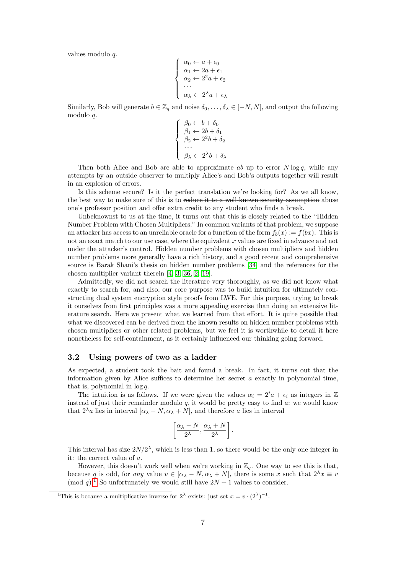values modulo q.

$$
\begin{cases}\n\alpha_0 \leftarrow a + \epsilon_0 \\
\alpha_1 \leftarrow 2a + \epsilon_1 \\
\alpha_2 \leftarrow 2^2a + \epsilon_2 \\
\cdots \\
\alpha_{\lambda} \leftarrow 2^{\lambda}a + \epsilon_{\lambda}\n\end{cases}
$$

Similarly, Bob will generate  $b \in \mathbb{Z}_q$  and noise  $\delta_0, \ldots, \delta_\lambda \in [-N, N]$ , and output the following modulo q.

$$
\begin{cases}\n\beta_0 \leftarrow b + \delta_0 \\
\beta_1 \leftarrow 2b + \delta_1 \\
\beta_2 \leftarrow 2^2b + \delta_2 \\
\cdots \\
\beta_{\lambda} \leftarrow 2^{\lambda}b + \delta_{\lambda}\n\end{cases}
$$

Then both Alice and Bob are able to approximate  $ab$  up to error  $N \log q$ , while any attempts by an outside observer to multiply Alice's and Bob's outputs together will result in an explosion of errors.

Is this scheme secure? Is it the perfect translation we're looking for? As we all know, the best way to make sure of this is to reduce it to a well-known security assumption abuse one's professor position and offer extra credit to any student who finds a break.

Unbeknownst to us at the time, it turns out that this is closely related to the "Hidden Number Problem with Chosen Multipliers." In common variants of that problem, we suppose an attacker has access to an unreliable oracle for a function of the form  $f_b(x) := f(bx)$ . This is not an exact match to our use case, where the equivalent x values are fixed in advance and not under the attacker's control. Hidden number problems with chosen multipliers and hidden number problems more generally have a rich history, and a good recent and comprehensive source is Barak Shani's thesis on hidden number problems [\[34\]](#page-38-2) and the references for the chosen multiplier variant therein [\[4,](#page-37-11) [3,](#page-37-12) [36,](#page-38-3) [2,](#page-37-13) [19\]](#page-38-4).

Admittedly, we did not search the literature very thoroughly, as we did not know what exactly to search for, and also, our core purpose was to build intuition for ultimately constructing dual system encryption style proofs from LWE. For this purpose, trying to break it ourselves from first principles was a more appealing exercise than doing an extensive literature search. Here we present what we learned from that effort. It is quite possible that what we discovered can be derived from the known results on hidden number problems with chosen multipliers or other related problems, but we feel it is worthwhile to detail it here nonetheless for self-containment, as it certainly influenced our thinking going forward.

#### 3.2 Using powers of two as a ladder

As expected, a student took the bait and found a break. In fact, it turns out that the information given by Alice suffices to determine her secret  $a$  exactly in polynomial time, that is, polynomial in  $\log q$ .

The intuition is as follows. If we were given the values  $\alpha_i = 2^i a + \epsilon_i$  as integers in Z instead of just their remainder modulo  $q$ , it would be pretty easy to find  $a$ : we would know that  $2^{\lambda}a$  lies in interval  $[\alpha_{\lambda} - N, \alpha_{\lambda} + N]$ , and therefore a lies in interval

$$
\left[\frac{\alpha_{\lambda}-N}{2^{\lambda}}, \frac{\alpha_{\lambda}+N}{2^{\lambda}}\right].
$$

This interval has size  $2N/2^{\lambda}$ , which is less than 1, so there would be the only one integer in it: the correct value of a.

However, this doesn't work well when we're working in  $\mathbb{Z}_q$ . One way to see this is that, because q is odd, for any value  $v \in [\alpha_{\lambda} - N, \alpha_{\lambda} + N]$ , there is some x such that  $2^{\lambda}x \equiv v$ (mod q).<sup>[1](#page-6-0)</sup> So unfortunately we would still have  $2N + 1$  values to consider.

<span id="page-6-0"></span><sup>&</sup>lt;sup>1</sup>This is because a multiplicative inverse for  $2^{\lambda}$  exists: just set  $x = v \cdot (2^{\lambda})^{-1}$ .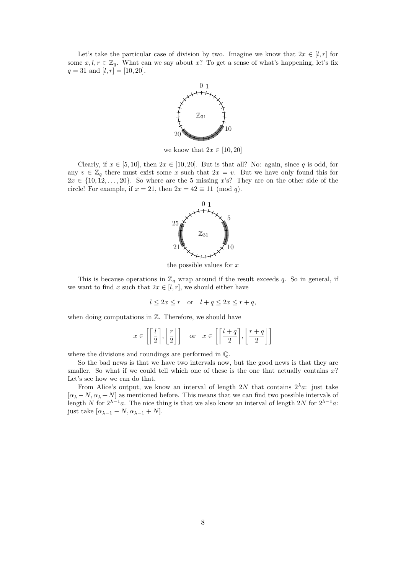Let's take the particular case of division by two. Imagine we know that  $2x \in [l, r]$  for some  $x, l, r \in \mathbb{Z}_q$ . What can we say about x? To get a sense of what's happening, let's fix  $q = 31$  and  $[l, r] = [10, 20].$ 



we know that  $2x \in [10, 20]$ 

Clearly, if  $x \in [5, 10]$ , then  $2x \in [10, 20]$ . But is that all? No: again, since q is odd, for any  $v \in \mathbb{Z}_q$  there must exist some x such that  $2x = v$ . But we have only found this for  $2x \in \{10, 12, \ldots, 20\}$ . So where are the 5 missing x's? They are on the other side of the circle! For example, if  $x = 21$ , then  $2x = 42 \equiv 11 \pmod{q}$ .



the possible values for  $x$ 

This is because operations in  $\mathbb{Z}_q$  wrap around if the result exceeds q. So in general, if we want to find x such that  $2x \in [l, r]$ , we should either have

$$
l \le 2x \le r \quad \text{or} \quad l + q \le 2x \le r + q,
$$

when doing computations in  $\mathbb{Z}$ . Therefore, we should have

$$
x \in \left[ \left\lceil \frac{l}{2} \right\rceil, \left\lfloor \frac{r}{2} \right\rfloor \right]
$$
 or  $x \in \left[ \left\lceil \frac{l+q}{2} \right\rceil, \left\lfloor \frac{r+q}{2} \right\rfloor \right]$ 

where the divisions and roundings are performed in Q.

So the bad news is that we have two intervals now, but the good news is that they are smaller. So what if we could tell which one of these is the one that actually contains  $x$ ? Let's see how we can do that.

From Alice's output, we know an interval of length 2N that contains  $2^{\lambda}a$ : just take  $[\alpha_{\lambda} - N, \alpha_{\lambda} + N]$  as mentioned before. This means that we can find two possible intervals of length N for  $2^{\lambda-1}a$ . The nice thing is that we also know an interval of length 2N for  $2^{\lambda-1}a$ : just take  $[\alpha_{\lambda-1} - N, \alpha_{\lambda-1} + N].$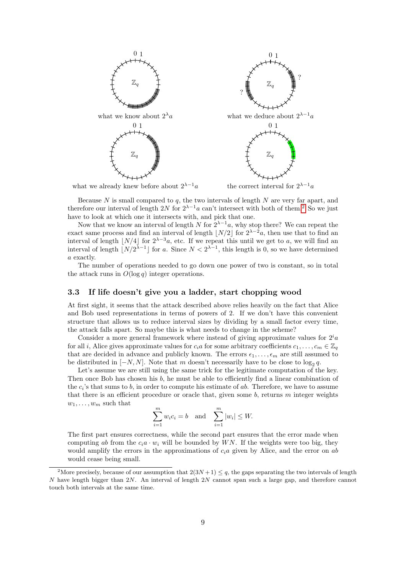

Because  $N$  is small compared to  $q$ , the two intervals of length  $N$  are very far apart, and therefore our interval of length [2](#page-8-0)N for  $2^{\lambda-1}a$  can't intersect with both of them.<sup>2</sup> So we just have to look at which one it intersects with, and pick that one.

Now that we know an interval of length N for  $2^{\lambda-1}a$ , why stop there? We can repeat the exact same process and find an interval of length  $\lfloor N/2 \rfloor$  for  $2^{\lambda-2}a$ , then use that to find an interval of length  $\lfloor N/4 \rfloor$  for  $2^{\lambda-3}a$ , etc. If we repeat this until we get to a, we will find an interval of length  $\lfloor N/2^{\lambda-1} \rfloor$  for a. Since  $N < 2^{\lambda-1}$ , this length is 0, so we have determined a exactly.

The number of operations needed to go down one power of two is constant, so in total the attack runs in  $O(\log q)$  integer operations.

#### 3.3 If life doesn't give you a ladder, start chopping wood

At first sight, it seems that the attack described above relies heavily on the fact that Alice and Bob used representations in terms of powers of 2. If we don't have this convenient structure that allows us to reduce interval sizes by dividing by a small factor every time, the attack falls apart. So maybe this is what needs to change in the scheme?

Consider a more general framework where instead of giving approximate values for  $2^i a$ for all *i*, Alice gives approximate values for  $c_i a$  for some arbitrary coefficients  $c_1, \ldots, c_m \in \mathbb{Z}_q$ that are decided in advance and publicly known. The errors  $\epsilon_1, \ldots, \epsilon_m$  are still assumed to be distributed in  $[-N, N]$ . Note that m doesn't necessarily have to be close to  $\log_2 q$ .

Let's assume we are still using the same trick for the legitimate computation of the key. Then once Bob has chosen his b, he must be able to efficiently find a linear combination of the  $c_i$ 's that sums to b, in order to compute his estimate of ab. Therefore, we have to assume that there is an efficient procedure or oracle that, given some  $b$ , returns  $m$  integer weights  $w_1, \ldots, w_m$  such that

$$
\sum_{i=1}^{m} w_i c_i = b \quad \text{and} \quad \sum_{i=1}^{m} |w_i| \leq W.
$$

The first part ensures correctness, while the second part ensures that the error made when computing ab from the  $c_i a \cdot w_i$  will be bounded by WN. If the weights were too big, they would amplify the errors in the approximations of  $c_i a$  given by Alice, and the error on ab would cease being small.

<span id="page-8-0"></span><sup>&</sup>lt;sup>2</sup>More precisely, because of our assumption that  $2(3N+1) \leq q$ , the gaps separating the two intervals of length N have length bigger than  $2N$ . An interval of length  $2N$  cannot span such a large gap, and therefore cannot touch both intervals at the same time.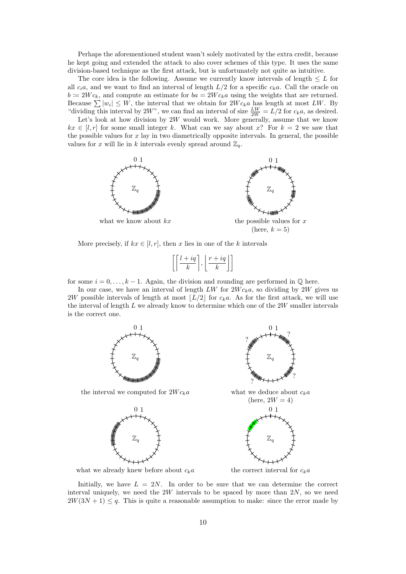Perhaps the aforementioned student wasn't solely motivated by the extra credit, because he kept going and extended the attack to also cover schemes of this type. It uses the same division-based technique as the first attack, but is unfortunately not quite as intuitive.

The core idea is the following. Assume we currently know intervals of length  $\leq L$  for all  $c_i a$ , and we want to find an interval of length  $L/2$  for a specific  $c_k a$ . Call the oracle on  $b \coloneqq 2W c_k$ , and compute an estimate for  $ba = 2W c_k a$  using the weights that are returned. Because  $\sum |w_i| \leq W$ , the interval that we obtain for  $2Wc_ka$  has length at most LW. By "dividing this interval by 2W", we can find an interval of size  $\frac{LW}{2W} = L/2$  for  $c_k a$ , as desired.

Let's look at how division by  $2W$  would work. More generally, assume that we know  $kx \in [l, r]$  for some small integer k. What can we say about x? For  $k = 2$  we saw that the possible values for  $x$  lay in two diametrically opposite intervals. In general, the possible values for x will lie in k intervals evenly spread around  $\mathbb{Z}_q$ .



More precisely, if  $kx \in [l, r]$ , then x lies in one of the k intervals

$$
\left[ \left\lceil \frac{l+iq}{k} \right\rceil, \left\lfloor \frac{r+iq}{k} \right\rfloor \right]
$$

for some  $i = 0, \ldots, k - 1$ . Again, the division and rounding are performed in  $\mathbb{Q}$  here.

In our case, we have an interval of length LW for  $2W c_k a$ , so dividing by 2W gives us 2W possible intervals of length at most  $\lfloor L/2 \rfloor$  for  $c_k a$ . As for the first attack, we will use the interval of length  $L$  we already know to determine which one of the  $2W$  smaller intervals is the correct one.



what we already knew before about  $c_k a$  the correct interval for  $c_k a$ 

Initially, we have  $L = 2N$ . In order to be sure that we can determine the correct interval uniquely, we need the  $2W$  intervals to be spaced by more than  $2N$ , so we need  $2W(3N + 1) \leq q$ . This is quite a reasonable assumption to make: since the error made by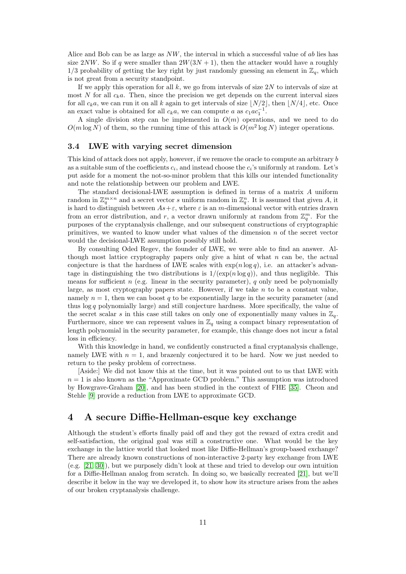Alice and Bob can be as large as  $NW$ , the interval in which a successful value of ab lies has size 2NW. So if q were smaller than  $2W(3N+1)$ , then the attacker would have a roughly  $1/3$  probability of getting the key right by just randomly guessing an element in  $\mathbb{Z}_q$ , which is not great from a security standpoint.

If we apply this operation for all  $k$ , we go from intervals of size 2N to intervals of size at most N for all  $c_k a$ . Then, since the precision we get depends on the current interval sizes for all  $c_k a$ , we can run it on all k again to get intervals of size  $\lfloor N/2 \rfloor$ , then  $\lfloor N/4 \rfloor$ , etc. Once an exact value is obtained for all  $c_k a$ , we can compute a as  $c_1 a c_1^{-1}$ .

A single division step can be implemented in  $O(m)$  operations, and we need to do  $O(m \log N)$  of them, so the running time of this attack is  $O(m^2 \log N)$  integer operations.

#### 3.4 LWE with varying secret dimension

This kind of attack does not apply, however, if we remove the oracle to compute an arbitrary b as a suitable sum of the coefficients  $c_i$ , and instead choose the  $c_i$ 's uniformly at random. Let's put aside for a moment the not-so-minor problem that this kills our intended functionality and note the relationship between our problem and LWE.

The standard decisional-LWE assumption is defined in terms of a matrix A uniform random in  $\mathbb{Z}_q^{m \times n}$  and a secret vector s uniform random in  $\mathbb{Z}_q^n$ . It is assumed that given A, it is hard to distinguish between  $As+\varepsilon$ , where  $\varepsilon$  is an m-dimensional vector with entries drawn from an error distribution, and r, a vector drawn uniformly at random from  $\mathbb{Z}_q^m$ . For the purposes of the cryptanalysis challenge, and our subsequent constructions of cryptographic primitives, we wanted to know under what values of the dimension n of the secret vector would the decisional-LWE assumption possibly still hold.

By consulting Oded Regev, the founder of LWE, we were able to find an answer. Although most lattice cryptography papers only give a hint of what  $n$  can be, the actual conjecture is that the hardness of LWE scales with  $\exp(n \log q)$ , i.e. an attacker's advantage in distinguishing the two distributions is  $1/(\exp(n \log q))$ , and thus negligible. This means for sufficient n (e.g. linear in the security parameter), q only need be polynomially large, as most cryptography papers state. However, if we take  $n$  to be a constant value, namely  $n = 1$ , then we can boost q to be exponentially large in the security parameter (and thus  $log q$  polynomially large) and still conjecture hardness. More specifically, the value of the secret scalar s in this case still takes on only one of exponentially many values in  $\mathbb{Z}_q$ . Furthermore, since we can represent values in  $\mathbb{Z}_q$  using a compact binary representation of length polynomial in the security parameter, for example, this change does not incur a fatal loss in efficiency.

With this knowledge in hand, we confidently constructed a final cryptanalysis challenge, namely LWE with  $n = 1$ , and brazenly conjectured it to be hard. Now we just needed to return to the pesky problem of correctness.

[Aside:] We did not know this at the time, but it was pointed out to us that LWE with  $n = 1$  is also known as the "Approximate GCD problem." This assumption was introduced by Howgrave-Graham [\[20\]](#page-38-5), and has been studied in the context of FHE [\[35\]](#page-38-6). Cheon and Stehle [\[9\]](#page-37-14) provide a reduction from LWE to approximate GCD.

### <span id="page-10-0"></span>4 A secure Diffie-Hellman-esque key exchange

Although the student's efforts finally paid off and they got the reward of extra credit and self-satisfaction, the original goal was still a constructive one. What would be the key exchange in the lattice world that looked most like Diffie-Hellman's group-based exchange? There are already known constructions of non-interactive 2-party key exchange from LWE (e.g. [\[21,](#page-38-7) [30\]](#page-38-8)), but we purposely didn't look at these and tried to develop our own intuition for a Diffie-Hellman analog from scratch. In doing so, we basically recreated [\[21\]](#page-38-7), but we'll describe it below in the way we developed it, to show how its structure arises from the ashes of our broken cryptanalysis challenge.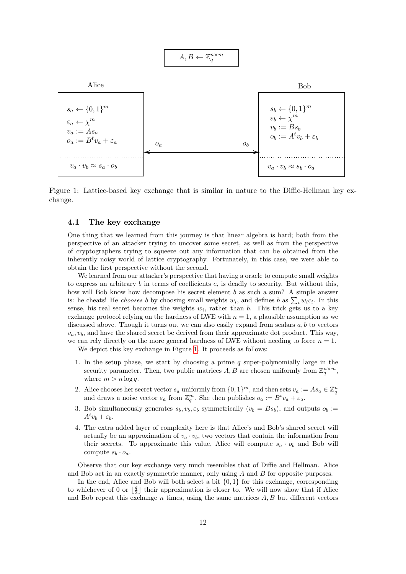<span id="page-11-0"></span>
$$
A,B \leftarrow \mathbb{Z}_q^{n \times m}
$$



Figure 1: Lattice-based key exchange that is similar in nature to the Diffie-Hellman key exchange.

#### 4.1 The key exchange

One thing that we learned from this journey is that linear algebra is hard; both from the perspective of an attacker trying to uncover some secret, as well as from the perspective of cryptographers trying to squeeze out any information that can be obtained from the inherently noisy world of lattice cryptography. Fortunately, in this case, we were able to obtain the first perspective without the second.

We learned from our attacker's perspective that having a oracle to compute small weights to express an arbitrary b in terms of coefficients  $c_i$  is deadly to security. But without this, how will Bob know how decompose his secret element b as such a sum? A simple answer is: he cheats! He *chooses* b by choosing small weights  $w_i$ , and defines b as  $\sum_i w_i c_i$ . In this sense, his real secret becomes the weights  $w_i$ , rather than b. This trick gets us to a key exchange protocol relying on the hardness of LWE with  $n = 1$ , a plausible assumption as we discussed above. Though it turns out we can also easily expand from scalars  $a, b$  to vectors  $v_a, v_b$ , and have the shared secret be derived from their approximate dot product. This way, we can rely directly on the more general hardness of LWE without needing to force  $n = 1$ .

We depict this key exchange in Figure [1.](#page-11-0) It proceeds as follows:

- 1. In the setup phase, we start by choosing a prime  $q$  super-polynomially large in the security parameter. Then, two public matrices  $A, B$  are chosen uniformly from  $\mathbb{Z}_q^{n \times m}$ , where  $m > n \log q$ .
- 2. Alice chooses her secret vector  $s_a$  uniformly from  $\{0,1\}^m$ , and then sets  $v_a := As_a \in \mathbb{Z}_q^n$ and draws a noise vector  $\varepsilon_a$  from  $\mathbb{Z}_q^m$ . She then publishes  $o_a := B^t v_a + \varepsilon_a$ .
- 3. Bob simultaneously generates  $s_b, v_b, \varepsilon_b$  symmetrically  $(v_b = Bs_b)$ , and outputs  $o_b :=$  $A^t v_b + \varepsilon_b$ .
- 4. The extra added layer of complexity here is that Alice's and Bob's shared secret will actually be an approximation of  $v_a \cdot v_b$ , two vectors that contain the information from their secrets. To approximate this value, Alice will compute  $s_a \cdot o_b$  and Bob will compute  $s_b \cdot o_a$ .

Observe that our key exchange very much resembles that of Diffie and Hellman. Alice and Bob act in an exactly symmetric manner, only using A and B for opposite purposes.

In the end, Alice and Bob will both select a bit  $\{0, 1\}$  for this exchange, corresponding to whichever of 0 or  $\lfloor \frac{q}{2} \rfloor$  their approximation is closer to. We will now show that if Alice and Bob repeat this exchange  $n$  times, using the same matrices  $A, B$  but different vectors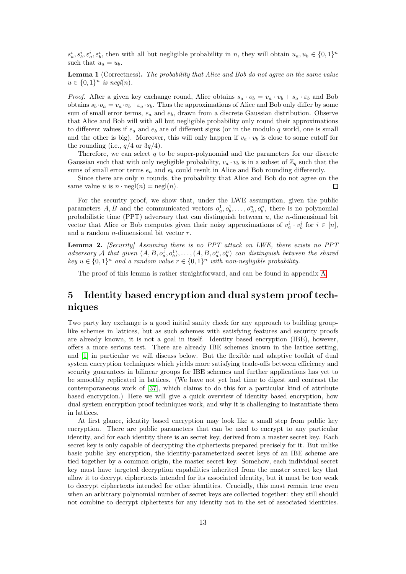$s_a^i, s_b^i, \varepsilon_a^i, \varepsilon_b^i$ , then with all but negligible probability in n, they will obtain  $u_a, u_b \in \{0, 1\}^n$ such that  $u_a = u_b$ .

Lemma 1 (Correctness). The probability that Alice and Bob do not agree on the same value  $u \in \{0,1\}^n$  is negl(n).

*Proof.* After a given key exchange round, Alice obtains  $s_a \cdot o_b = v_a \cdot v_b + s_a \cdot \varepsilon_b$  and Bob obtains  $s_b \cdot o_a = v_a \cdot v_b + \varepsilon_a \cdot s_b$ . Thus the approximations of Alice and Bob only differ by some sum of small error terms,  $e_a$  and  $e_b$ , drawn from a discrete Gaussian distribution. Observe that Alice and Bob will with all but negligible probability only round their approximations to different values if  $e_a$  and  $e_b$  are of different signs (or in the modulo q world, one is small and the other is big). Moreover, this will only happen if  $v_a \cdot v_b$  is close to some cutoff for the rounding (i.e.,  $q/4$  or  $3q/4$ ).

Therefore, we can select  $q$  to be super-polynomial and the parameters for our discrete Gaussian such that with only negligible probability,  $v_a \cdot v_b$  is in a subset of  $\mathbb{Z}_q$  such that the sums of small error terms  $e_a$  and  $e_b$  could result in Alice and Bob rounding differently.

Since there are only  $n$  rounds, the probability that Alice and Bob do not agree on the same value u is  $n \cdot$  negl $(n)$  = negl $(n)$ .  $\Box$ 

For the security proof, we show that, under the LWE assumption, given the public parameters A, B and the communicated vectors  $o_a^1, o_b^1, \ldots, o_A^n, o_b^n$ , there is no polynomial probabilistic time (PPT) adversary that can distinguish between  $u$ , the *n*-dimensional bit vector that Alice or Bob computes given their noisy approximations of  $v_a^i \cdot v_b^i$  for  $i \in [n]$ , and a random  $n$ -dimensional bit vector  $r$ .

<span id="page-12-1"></span>Lemma 2. [Security] Assuming there is no PPT attack on LWE, there exists no PPT adversary A that given  $(A, B, o_a^1, o_b^1), \ldots, (A, B, o_a^n, o_b^n)$  can distinguish between the shared key  $u \in \{0,1\}^n$  and a random value  $r \in \{0,1\}^n$  with non-negligible probability.

The proof of this lemma is rather straightforward, and can be found in appendix [A.](#page-38-9)

# <span id="page-12-0"></span>5 Identity based encryption and dual system proof techniques

Two party key exchange is a good initial sanity check for any approach to building grouplike schemes in lattices, but as such schemes with satisfying features and security proofs are already known, it is not a goal in itself. Identity based encryption (IBE), however, offers a more serious test. There are already IBE schemes known in the lattice setting, and [\[1\]](#page-37-3) in particular we will discuss below. But the flexible and adaptive toolkit of dual system encryption techniques which yields more satisfying trade-offs between efficiency and security guarantees in bilinear groups for IBE schemes and further applications has yet to be smoothly replicated in lattices. (We have not yet had time to digest and contrast the contemporaneous work of [\[37\]](#page-38-10), which claims to do this for a particular kind of attribute based encryption.) Here we will give a quick overview of identity based encryption, how dual system encryption proof techniques work, and why it is challenging to instantiate them in lattices.

At first glance, identity based encryption may look like a small step from public key encryption. There are public parameters that can be used to encrypt to any particular identity, and for each identity there is an secret key, derived from a master secret key. Each secret key is only capable of decrypting the ciphertexts prepared precisely for it. But unlike basic public key encryption, the identity-parameterized secret keys of an IBE scheme are tied together by a common origin, the master secret key. Somehow, each individual secret key must have targeted decryption capabilities inherited from the master secret key that allow it to decrypt ciphertexts intended for its associated identity, but it must be too weak to decrypt ciphertexts intended for other identities. Crucially, this must remain true even when an arbitrary polynomial number of secret keys are collected together: they still should not combine to decrypt ciphertexts for any identity not in the set of associated identities.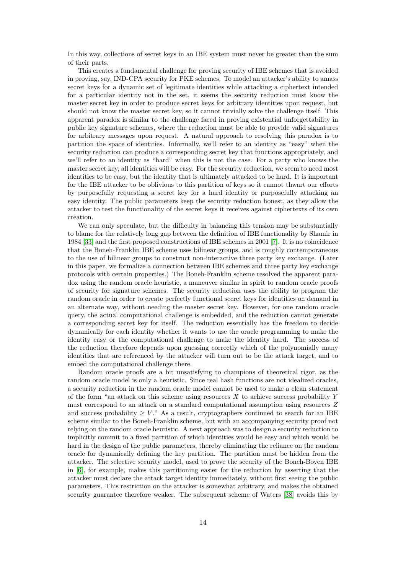In this way, collections of secret keys in an IBE system must never be greater than the sum of their parts.

This creates a fundamental challenge for proving security of IBE schemes that is avoided in proving, say, IND-CPA security for PKE schemes. To model an attacker's ability to amass secret keys for a dynamic set of legitimate identities while attacking a ciphertext intended for a particular identity not in the set, it seems the security reduction must know the master secret key in order to produce secret keys for arbitrary identities upon request, but should not know the master secret key, so it cannot trivially solve the challenge itself. This apparent paradox is similar to the challenge faced in proving existential unforgettability in public key signature schemes, where the reduction must be able to provide valid signatures for arbitrary messages upon request. A natural approach to resolving this paradox is to partition the space of identities. Informally, we'll refer to an identity as "easy" when the security reduction can produce a corresponding secret key that functions appropriately, and we'll refer to an identity as "hard" when this is not the case. For a party who knows the master secret key, all identities will be easy. For the security reduction, we seem to need most identities to be easy, but the identity that is ultimately attacked to be hard. It is important for the IBE attacker to be oblivious to this partition of keys so it cannot thwart our efforts by purposefully requesting a secret key for a hard identity or purposefully attacking an easy identity. The public parameters keep the security reduction honest, as they allow the attacker to test the functionality of the secret keys it receives against ciphertexts of its own creation.

We can only speculate, but the difficulty in balancing this tension may be substantially to blame for the relatively long gap between the definition of IBE functionality by Shamir in 1984 [\[33\]](#page-38-11) and the first proposed constructions of IBE schemes in 2001 [\[7\]](#page-37-0). It is no coincidence that the Boneh-Franklin IBE scheme uses bilinear groups, and is roughly contemporaneous to the use of bilinear groups to construct non-interactive three party key exchange. (Later in this paper, we formalize a connection between IBE schemes and three party key exchange protocols with certain properties.) The Boneh-Franklin scheme resolved the apparent paradox using the random oracle heuristic, a maneuver similar in spirit to random oracle proofs of security for signature schemes. The security reduction uses the ability to program the random oracle in order to create perfectly functional secret keys for identities on demand in an alternate way, without needing the master secret key. However, for one random oracle query, the actual computational challenge is embedded, and the reduction cannot generate a corresponding secret key for itself. The reduction essentially has the freedom to decide dynamically for each identity whether it wants to use the oracle programming to make the identity easy or the computational challenge to make the identity hard. The success of the reduction therefore depends upon guessing correctly which of the polynomially many identities that are referenced by the attacker will turn out to be the attack target, and to embed the computational challenge there.

Random oracle proofs are a bit unsatisfying to champions of theoretical rigor, as the random oracle model is only a heuristic. Since real hash functions are not idealized oracles, a security reduction in the random oracle model cannot be used to make a clean statement of the form "an attack on this scheme using resources  $X$  to achieve success probability  $Y$ must correspond to an attack on a standard computational assumption using resources Z and success probability  $\geq V$ ." As a result, cryptographers continued to search for an IBE scheme similar to the Boneh-Franklin scheme, but with an accompanying security proof not relying on the random oracle heuristic. A next approach was to design a security reduction to implicitly commit to a fixed partition of which identities would be easy and which would be hard in the design of the public parameters, thereby eliminating the reliance on the random oracle for dynamically defining the key partition. The partition must be hidden from the attacker. The selective security model, used to prove the security of the Boneh-Boyen IBE in [\[6\]](#page-37-2), for example, makes this partitioning easier for the reduction by asserting that the attacker must declare the attack target identity immediately, without first seeing the public parameters. This restriction on the attacker is somewhat arbitrary, and makes the obtained security guarantee therefore weaker. The subsequent scheme of Waters [\[38\]](#page-38-12) avoids this by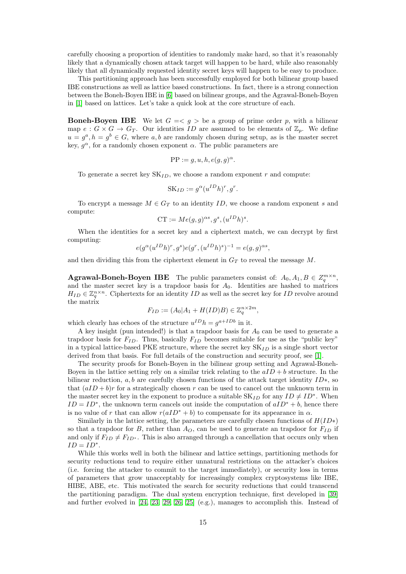carefully choosing a proportion of identities to randomly make hard, so that it's reasonably likely that a dynamically chosen attack target will happen to be hard, while also reasonably likely that all dynamically requested identity secret keys will happen to be easy to produce.

This partitioning approach has been successfully employed for both bilinear group based IBE constructions as well as lattice based constructions. In fact, there is a strong connection between the Boneh-Boyen IBE in [\[6\]](#page-37-2) based on bilinear groups, and the Agrawal-Boneh-Boyen in [\[1\]](#page-37-3) based on lattices. Let's take a quick look at the core structure of each.

**Boneh-Boyen IBE** We let  $G = \langle g \rangle$  be a group of prime order p, with a bilinear map  $e: G \times G \to G_T$ . Our identities ID are assumed to be elements of  $\mathbb{Z}_p$ . We define  $u = g^a$ ,  $h = g^b \in G$ , where a, b are randomly chosen during setup, as is the master secret key,  $g^{\alpha}$ , for a randomly chosen exponent  $\alpha$ . The public parameters are

$$
PP := g, u, h, e(g, g)^{\alpha}.
$$

To generate a secret key  $SK_{ID}$ , we choose a random exponent r and compute:

$$
SK_{ID} := g^{\alpha} (u^{ID} h)^r, g^r.
$$

To encrypt a message  $M \in G_T$  to an identity ID, we choose a random exponent s and compute:

$$
CT := Me(g, g)^{\alpha s}, g^s, (u^{ID}h)^s.
$$

When the identities for a secret key and a ciphertext match, we can decrypt by first computing:

$$
e(g^{\alpha}(u^{ID}h)^r, g^s)e(g^r, (u^{ID}h)^s)^{-1} = e(g, g)^{\alpha s},
$$

and then dividing this from the ciphertext element in  $G_T$  to reveal the message M.

**Agrawal-Boneh-Boyen IBE** The public parameters consist of:  $A_0, A_1, B \in \mathbb{Z}_q^{m \times n}$ , and the master secret key is a trapdoor basis for  $A_0$ . Identities are hashed to matrices  $H_{ID} \in \mathbb{Z}_q^{n \times n}$ . Ciphertexts for an identity ID as well as the secret key for ID revolve around the matrix

$$
F_{ID} := (A_0|A_1 + H(ID)B) \in \mathbb{Z}_q^{n \times 2m},
$$

which clearly has echoes of the structure  $u^{ID}h = g^{a+IDb}$  in it.

A key insight (pun intended!) is that a trapdoor basis for  $A_0$  can be used to generate a trapdoor basis for  $F_{ID}$ . Thus, basically  $F_{ID}$  becomes suitable for use as the "public key" in a typical lattice-based PKE structure, where the secret key  $SK_{ID}$  is a single short vector derived from that basis. For full details of the construction and security proof, see [\[1\]](#page-37-3).

The security proofs for Boneh-Boyen in the bilinear group setting and Agrawal-Boneh-Boyen in the lattice setting rely on a similar trick relating to the  $aID + b$  structure. In the bilinear reduction, a, b are carefully chosen functions of the attack target identity  $ID^*$ , so that  $(aID + b)r$  for a strategically chosen r can be used to cancel out the unknown term in the master secret key in the exponent to produce a suitable  $SK_{ID}$  for any  $ID \neq ID^*$ . When  $ID = ID^*$ , the unknown term cancels out inside the computation of  $aID^* + b$ , hence there is no value of r that can allow  $r(aID^* + b)$  to compensate for its appearance in  $\alpha$ .

Similarly in the lattice setting, the parameters are carefully chosen functions of  $H(ID*)$ so that a trapdoor for B, rather than  $A_O$ , can be used to generate an trapdoor for  $F_{ID}$  if and only if  $F_{ID} \neq F_{ID}$ . This is also arranged through a cancellation that occurs only when  $ID = ID^*$ .

While this works well in both the bilinear and lattice settings, partitioning methods for security reductions tend to require either unnatural restrictions on the attacker's choices (i.e. forcing the attacker to commit to the target immediately), or security loss in terms of parameters that grow unacceptably for increasingly complex cryptosystems like IBE, HIBE, ABE, etc. This motivated the search for security reductions that could transcend the partitioning paradigm. The dual system encryption technique, first developed in [\[39\]](#page-38-13) and further evolved in [\[24,](#page-38-14) [23,](#page-38-15) [29,](#page-38-16) [26,](#page-38-17) [25\]](#page-38-18) (e.g.), manages to accomplish this. Instead of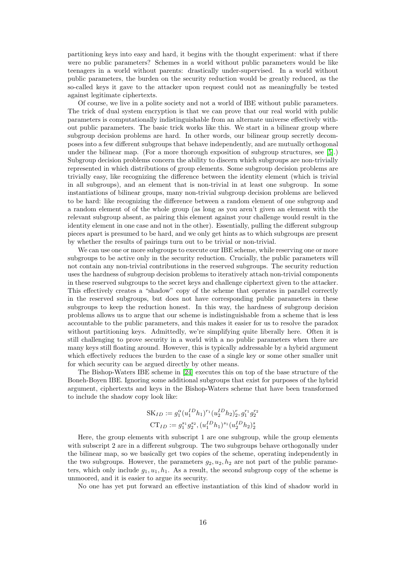partitioning keys into easy and hard, it begins with the thought experiment: what if there were no public parameters? Schemes in a world without public parameters would be like teenagers in a world without parents: drastically under-supervised. In a world without public parameters, the burden on the security reduction would be greatly reduced, as the so-called keys it gave to the attacker upon request could not as meaningfully be tested against legitimate ciphertexts.

Of course, we live in a polite society and not a world of IBE without public parameters. The trick of dual system encryption is that we can prove that our real world with public parameters is computationally indistinguishable from an alternate universe effectively without public parameters. The basic trick works like this. We start in a bilinear group where subgroup decision problems are hard. In other words, our bilinear group secretly decomposes into a few different subgroups that behave independently, and are mutually orthogonal under the bilinear map. (For a more thorough exposition of subgroup structures, see [\[5\]](#page-37-15).) Subgroup decision problems concern the ability to discern which subgroups are non-trivially represented in which distributions of group elements. Some subgroup decision problems are trivially easy, like recognizing the difference between the identity element (which is trivial in all subgroups), and an element that is non-trivial in at least one subgroup. In some instantiations of bilinear groups, many non-trivial subgroup decision problems are believed to be hard: like recognizing the difference between a random element of one subgroup and a random element of of the whole group (as long as you aren't given an element with the relevant subgroup absent, as pairing this element against your challenge would result in the identity element in one case and not in the other). Essentially, pulling the different subgroup pieces apart is presumed to be hard, and we only get hints as to which subgroups are present by whether the results of pairings turn out to be trivial or non-trivial.

We can use one or more subgroups to execute our IBE scheme, while reserving one or more subgroups to be active only in the security reduction. Crucially, the public parameters will not contain any non-trivial contributions in the reserved subgroups. The security reduction uses the hardness of subgroup decision problems to iteratively attach non-trivial components in these reserved subgroups to the secret keys and challenge ciphertext given to the attacker. This effectively creates a "shadow" copy of the scheme that operates in parallel correctly in the reserved subgroups, but does not have corresponding public parameters in these subgroups to keep the reduction honest. In this way, the hardness of subgroup decision problems allows us to argue that our scheme is indistinguishable from a scheme that is less accountable to the public parameters, and this makes it easier for us to resolve the paradox without partitioning keys. Admittedly, we're simplifying quite liberally here. Often it is still challenging to prove security in a world with a no public parameters when there are many keys still floating around. However, this is typically addressable by a hybrid argument which effectively reduces the burden to the case of a single key or some other smaller unit for which security can be argued directly by other means.

The Bishop-Waters IBE scheme in [\[24\]](#page-38-14) executes this on top of the base structure of the Boneh-Boyen IBE. Ignoring some additional subgroups that exist for purposes of the hybrid argument, ciphertexts and keys in the Bishop-Waters scheme that have been transformed to include the shadow copy look like:

$$
SK_{ID} := g_1^{\alpha} (u_1^{ID} h_1)^{r_1} (u_2^{ID} h_2)^{r}_2, g_1^{r_1} g_2^{r_2}
$$

$$
CT_{ID} := g_1^{s_1} g_2^{s_2}, (u_1^{ID} h_1)^{s_1} (u_2^{ID} h_2)^{s}_2
$$

Here, the group elements with subscript 1 are one subgroup, while the group elements with subscript 2 are in a different subgroup. The two subgroups behave orthogonally under the bilinear map, so we basically get two copies of the scheme, operating independently in the two subgroups. However, the parameters  $g_2, u_2, h_2$  are not part of the public parameters, which only include  $g_1, u_1, h_1$ . As a result, the second subgroup copy of the scheme is unmoored, and it is easier to argue its security.

No one has yet put forward an effective instantiation of this kind of shadow world in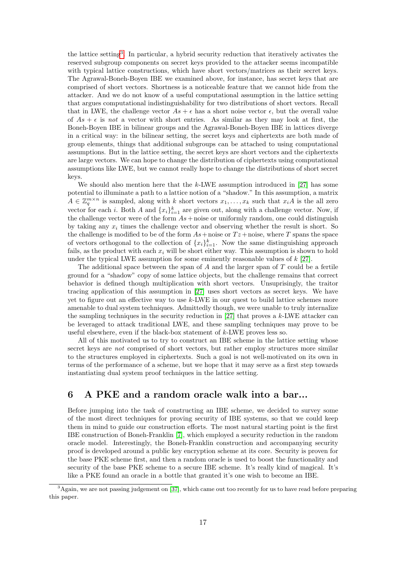the lattice setting[3](#page-16-1) . In particular, a hybrid security reduction that iteratively activates the reserved subgroup components on secret keys provided to the attacker seems incompatible with typical lattice constructions, which have short vectors/matrices as their secret keys. The Agrawal-Boneh-Boyen IBE we examined above, for instance, has secret keys that are comprised of short vectors. Shortness is a noticeable feature that we cannot hide from the attacker. And we do not know of a useful computational assumption in the lattice setting that argues computational indistinguishability for two distributions of short vectors. Recall that in LWE, the challenge vector  $As + \epsilon$  has a short noise vector  $\epsilon$ , but the overall value of  $As + \epsilon$  is not a vector with short entries. As similar as they may look at first, the Boneh-Boyen IBE in bilinear groups and the Agrawal-Boneh-Boyen IBE in lattices diverge in a critical way: in the bilinear setting, the secret keys and ciphertexts are both made of group elements, things that additional subgroups can be attached to using computational assumptions. But in the lattice setting, the secret keys are short vectors and the ciphertexts are large vectors. We can hope to change the distribution of ciphertexts using computational assumptions like LWE, but we cannot really hope to change the distributions of short secret keys.

We should also mention here that the  $k$ -LWE assumption introduced in [\[27\]](#page-38-19) has some potential to illuminate a path to a lattice notion of a "shadow." In this assumption, a matrix  $A \in \mathbb{Z}_q^{m \times n}$  is sampled, along with k short vectors  $x_1, \ldots, x_k$  such that  $x_i A$  is the all zero vector for each *i*. Both *A* and  $\{x_i\}_{i=1}^k$  are given out, along with a challenge vector. Now, if the challenge vector were of the form  $As + noise$  or uniformly random, one could distinguish by taking any  $x_i$  times the challenge vector and observing whether the result is short. So the challenge is modified to be of the form  $As + noise$  or  $Tz + noise$ , where T spans the space of vectors orthogonal to the collection of  ${x_i}_{i=1}^k$ . Now the same distinguishing approach fails, as the product with each  $x_i$  will be short either way. This assumption is shown to hold under the typical LWE assumption for some eminently reasonable values of  $k$  [\[27\]](#page-38-19).

The additional space between the span of  $A$  and the larger span of  $T$  could be a fertile ground for a "shadow" copy of some lattice objects, but the challenge remains that correct behavior is defined though multiplication with short vectors. Unsuprisingly, the traitor tracing application of this assumption in [\[27\]](#page-38-19) uses short vectors as secret keys. We have yet to figure out an effective way to use k-LWE in our quest to build lattice schemes more amenable to dual system techniques. Admittedly though, we were unable to truly internalize the sampling techniques in the security reduction in  $[27]$  that proves a k-LWE attacker can be leveraged to attack traditional LWE, and these sampling techniques may prove to be useful elsewhere, even if the black-box statement of  $k$ -LWE proves less so.

All of this motivated us to try to construct an IBE scheme in the lattice setting whose secret keys are *not* comprised of short vectors, but rather employ structures more similar to the structures employed in ciphertexts. Such a goal is not well-motivated on its own in terms of the performance of a scheme, but we hope that it may serve as a first step towards instantiating dual system proof techniques in the lattice setting.

### <span id="page-16-0"></span>6 A PKE and a random oracle walk into a bar...

Before jumping into the task of constructing an IBE scheme, we decided to survey some of the most direct techniques for proving security of IBE systems, so that we could keep them in mind to guide our construction efforts. The most natural starting point is the first IBE construction of Boneh-Franklin [\[7\]](#page-37-0), which employed a security reduction in the random oracle model. Interestingly, the Boneh-Franklin construction and accompanying security proof is developed around a public key encryption scheme at its core. Security is proven for the base PKE scheme first, and then a random oracle is used to boost the functionality and security of the base PKE scheme to a secure IBE scheme. It's really kind of magical. It's like a PKE found an oracle in a bottle that granted it's one wish to become an IBE.

<span id="page-16-1"></span><sup>3</sup>Again, we are not passing judgement on [\[37\]](#page-38-10), which came out too recently for us to have read before preparing this paper.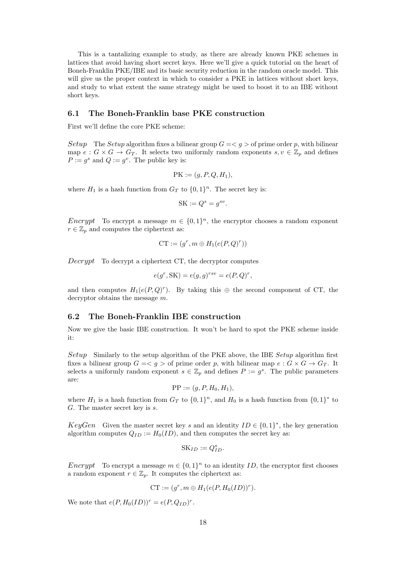This is a tantalizing example to study, as there are already known PKE schemes in lattices that avoid having short secret keys. Here we'll give a quick tutorial on the heart of Boneh-Franklin PKE/IBE and its basic security reduction in the random oracle model. This will give us the proper context in which to consider a PKE in lattices without short keys, and study to what extent the same strategy might be used to boost it to an IBE without short keys.

#### 6.1 The Boneh-Franklin base PKE construction

First we'll define the core PKE scheme:

Setup The Setup algorithm fixes a bilinear group  $G = \langle g \rangle$  of prime order p, with bilinear map  $e: G \times G \to G_T$ . It selects two uniformly random exponents  $s, v \in \mathbb{Z}_p$  and defines  $P := g^s$  and  $Q := g^v$ . The public key is:

$$
PK := (g, P, Q, H_1),
$$

where  $H_1$  is a hash function from  $G_T$  to  $\{0,1\}^n$ . The secret key is:

$$
SK := Q^s = g^{sv}.
$$

Encrypt To encrypt a message  $m \in \{0,1\}^n$ , the encryptor chooses a random exponent  $r \in \mathbb{Z}_p$  and computes the ciphertext as:

$$
\mathbf{CT} := (g^r, m \oplus H_1(e(P, Q)^r))
$$

 $Decrypt$  To decrypt a ciphertext CT, the decryptor computes

$$
e(g^r, SK) = e(g, g)^{rsv} = e(P, Q)^r,
$$

and then computes  $H_1(e(P,Q)^r)$ . By taking this  $\oplus$  the second component of CT, the decryptor obtains the message m.

#### 6.2 The Boneh-Franklin IBE construction

Now we give the basic IBE construction. It won't be hard to spot the PKE scheme inside it:

Setup Similarly to the setup algorithm of the PKE above, the IBE Setup algorithm first fixes a bilinear group  $G = \langle g \rangle$  of prime order p, with bilinear map  $e : G \times G \rightarrow G_T$ . It selects a uniformly random exponent  $s \in \mathbb{Z}_p$  and defines  $P := g^s$ . The public parameters are:

$$
PP := (g, P, H_0, H_1),
$$

where  $H_1$  is a hash function from  $G_T$  to  $\{0,1\}^n$ , and  $H_0$  is a hash function from  $\{0,1\}^*$  to G. The master secret key is s.

KeyGen Given the master secret key s and an identity  $ID \in \{0,1\}^*$ , the key generation algorithm computes  $Q_{ID} := H_0(ID)$ , and then computes the secret key as:

$$
SK_{ID} := Q_{ID}^s.
$$

Encrypt To encrypt a message  $m \in \{0,1\}^n$  to an identity ID, the encryptor first chooses a random exponent  $r \in \mathbb{Z}_p$ . It computes the ciphertext as:

$$
\mathrm{CT} := (g^r, m \oplus H_1(e(P, H_0(ID))^r).
$$

We note that  $e(P, H_0(ID))^r = e(P, Q_{ID})^r$ .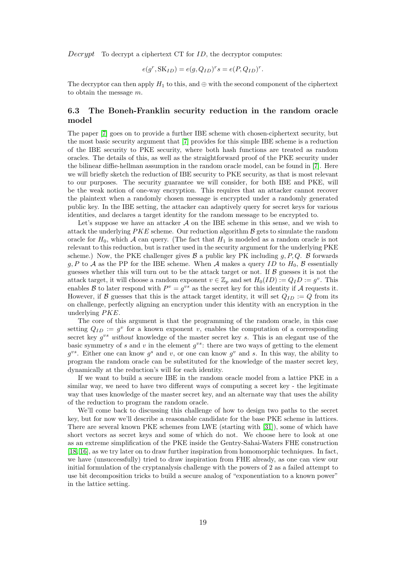Decrypt To decrypt a ciphertext CT for  $ID$ , the decryptor computes:

$$
e(g^r, \mathbf{SK}_{ID}) = e(g, Q_{ID})^r s = e(P, Q_{ID})^r.
$$

The decryptor can then apply  $H_1$  to this, and  $\oplus$  with the second component of the ciphertext to obtain the message m.

### 6.3 The Boneh-Franklin security reduction in the random oracle model

The paper [\[7\]](#page-37-0) goes on to provide a further IBE scheme with chosen-ciphertext security, but the most basic security argument that [\[7\]](#page-37-0) provides for this simple IBE scheme is a reduction of the IBE security to PKE security, where both hash functions are treated as random oracles. The details of this, as well as the straightforward proof of the PKE security under the bilinear diffie-hellman assumption in the random oracle model, can be found in [\[7\]](#page-37-0). Here we will briefly sketch the reduction of IBE security to PKE security, as that is most relevant to our purposes. The security guarantee we will consider, for both IBE and PKE, will be the weak notion of one-way encryption. This requires that an attacker cannot recover the plaintext when a randomly chosen message is encrypted under a randomly generated public key. In the IBE setting, the attacker can adaptively query for secret keys for various identities, and declares a target identity for the random message to be encrypted to.

Let's suppose we have an attacker  $A$  on the IBE scheme in this sense, and we wish to attack the underlying  $PKE$  scheme. Our reduction algorithm  $B$  gets to simulate the random oracle for  $H_0$ , which A can query. (The fact that  $H_1$  is modeled as a random oracle is not relevant to this reduction, but is rather used in the security argument for the underlying PKE scheme.) Now, the PKE challenger gives  $\mathcal{B}$  a public key PK including g, P, Q.  $\mathcal{B}$  forwards g, P to A as the PP for the IBE scheme. When A makes a query ID to  $H_0$ , B essentially guesses whether this will turn out to be the attack target or not. If  $\beta$  guesses it is not the attack target, it will choose a random exponent  $v \in \mathbb{Z}_p$  and set  $H_0(ID) := Q_I D := g^v$ . This enables B to later respond with  $P^v = g^{vs}$  as the secret key for this identity if A requests it. However, if B guesses that this is the attack target identity, it will set  $Q_{ID} := Q$  from its on challenge, perfectly aligning an encryption under this identity with an encryption in the underlying PKE.

The core of this argument is that the programming of the random oracle, in this case setting  $Q_{ID} := g^v$  for a known exponent v, enables the computation of a corresponding secret key  $g^{vs}$  without knowledge of the master secret key s. This is an elegant use of the basic symmetry of s and v in the element  $g^{vs}$ : there are two ways of getting to the element  $g^{vs}$ . Either one can know  $g^s$  and v, or one can know  $g^v$  and s. In this way, the ability to program the random oracle can be substituted for the knowledge of the master secret key, dynamically at the reduction's will for each identity.

If we want to build a secure IBE in the random oracle model from a lattice PKE in a similar way, we need to have two different ways of computing a secret key - the legitimate way that uses knowledge of the master secret key, and an alternate way that uses the ability of the reduction to program the random oracle.

We'll come back to discussing this challenge of how to design two paths to the secret key, but for now we'll describe a reasonable candidate for the base PKE scheme in lattices. There are several known PKE schemes from LWE (starting with [\[31\]](#page-38-20)), some of which have short vectors as secret keys and some of which do not. We choose here to look at one as an extreme simplification of the PKE inside the Gentry-Sahai-Waters FHE construction [\[18,](#page-38-1) [16\]](#page-37-16), as we try later on to draw further inspiration from homomorphic techniques. In fact, we have (unsuccessfully) tried to draw inspiration from FHE already, as one can view our initial formulation of the cryptanalysis challenge with the powers of 2 as a failed attempt to use bit decomposition tricks to build a secure analog of "exponentiation to a known power" in the lattice setting.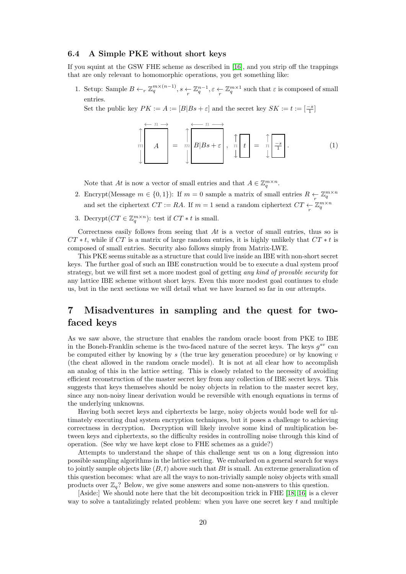#### <span id="page-19-1"></span>6.4 A Simple PKE without short keys

If you squint at the GSW FHE scheme as described in [\[16\]](#page-37-16), and you strip off the trappings that are only relevant to homomorphic operations, you get something like:

1. Setup: Sample  $B \leftarrow_r \mathbb{Z}_q^{m \times (n-1)}$ ,  $s \leftarrow \mathbb{Z}_q^{n-1}$ ,  $\varepsilon \leftarrow \mathbb{Z}_q^{m \times 1}$  such that  $\varepsilon$  is composed of small entries.

Set the public key  $PK := A := [B|Bs + \varepsilon]$  and the secret key  $SK := t := \lceil \frac{-s}{1} \rceil$ 

$$
\uparrow m \rightarrow A
$$
\n
$$
\downarrow m \rightarrow A
$$
\n
$$
\downarrow m \rightarrow B|B_{s+\varepsilon}, \quad \uparrow m \rightarrow B
$$
\n
$$
\downarrow m \rightarrow B
$$
\n
$$
\downarrow m \rightarrow B
$$
\n
$$
\downarrow m \rightarrow B
$$
\n
$$
\downarrow m \rightarrow B
$$
\n
$$
\downarrow m \rightarrow B
$$
\n
$$
\downarrow m \rightarrow B
$$
\n
$$
\downarrow m \rightarrow B
$$
\n
$$
\downarrow m \rightarrow B
$$
\n
$$
\downarrow m \rightarrow B
$$
\n
$$
\downarrow m \rightarrow B
$$
\n
$$
\downarrow m \rightarrow B
$$
\n
$$
\downarrow m \rightarrow B
$$
\n
$$
\downarrow m \rightarrow B
$$
\n
$$
\downarrow m \rightarrow B
$$
\n
$$
\downarrow m \rightarrow B
$$
\n
$$
\downarrow m \rightarrow B
$$
\n
$$
\downarrow m \rightarrow B
$$
\n
$$
\downarrow m \rightarrow B
$$
\n
$$
\downarrow m \rightarrow B
$$
\n
$$
\downarrow m \rightarrow B
$$
\n
$$
\downarrow m \rightarrow B
$$
\n
$$
\downarrow m \rightarrow B
$$
\n
$$
\downarrow m \rightarrow B
$$
\n
$$
\downarrow m \rightarrow B
$$
\n
$$
\downarrow m \rightarrow B
$$
\n
$$
\downarrow m \rightarrow B
$$
\n
$$
\downarrow m \rightarrow B
$$
\n
$$
\downarrow m \rightarrow B
$$
\n
$$
\downarrow m \rightarrow B
$$
\n
$$
\downarrow m \rightarrow B
$$
\n
$$
\downarrow m \rightarrow B
$$
\n
$$
\downarrow m \rightarrow B
$$
\n
$$
\downarrow m \rightarrow B
$$
\n
$$
\downarrow m \rightarrow B
$$
\n
$$
\downarrow m \rightarrow B
$$
\n
$$
\downarrow m \rightarrow C
$$
\n
$$
\downarrow m \rightarrow C
$$
\n
$$
\downarrow m \rightarrow C
$$
\n
$$
\downarrow m \rightarrow C
$$
\n
$$
\downarrow m \rightarrow C
$$
\n
$$
\downarrow m \rightarrow C
$$
\n
$$
\downarrow m \rightarrow C
$$
\n
$$
\downarrow m \rightarrow C
$$
\n
$$
\downarrow m \rightarrow
$$

Note that At is now a vector of small entries and that  $A \in \mathbb{Z}_q^{m \times n}$ .

- 2. Encrypt(Message  $m \in \{0,1\}$ ): If  $m=0$  sample a matrix of small entries  $R \leftarrow \mathbb{Z}_q^{m \times n}$ and set the ciphertext  $CT := RA$ . If  $m = 1$  send a random ciphertext  $CT \underset{r}{\leftarrow} \mathbb{Z}_q^{m \times n}$
- 3. Decrypt $(CT \in \mathbb{Z}_q^{m \times n})$ : test if  $CT * t$  is small.

Correctness easily follows from seeing that  $At$  is a vector of small entries, thus so is  $CT * t$ , while if  $CT$  is a matrix of large random entries, it is highly unlikely that  $CT * t$  is composed of small entries. Security also follows simply from Matrix-LWE.

This PKE seems suitable as a structure that could live inside an IBE with non-short secret keys. The further goal of such an IBE construction would be to execute a dual system proof strategy, but we will first set a more modest goal of getting *any kind of provable security* for any lattice IBE scheme without short keys. Even this more modest goal continues to elude us, but in the next sections we will detail what we have learned so far in our attempts.

# <span id="page-19-0"></span>7 Misadventures in sampling and the quest for twofaced keys

As we saw above, the structure that enables the random oracle boost from PKE to IBE in the Boneh-Franklin scheme is the two-faced nature of the secret keys. The keys  $g^{sv}$  can be computed either by knowing by  $s$  (the true key generation procedure) or by knowing  $v$ (the cheat allowed in the random oracle model). It is not at all clear how to accomplish an analog of this in the lattice setting. This is closely related to the necessity of avoiding efficient reconstruction of the master secret key from any collection of IBE secret keys. This suggests that keys themselves should be noisy objects in relation to the master secret key, since any non-noisy linear derivation would be reversible with enough equations in terms of the underlying unknowns.

Having both secret keys and ciphertexts be large, noisy objects would bode well for ultimately executing dual system encryption techniques, but it poses a challenge to achieving correctness in decryption. Decryption will likely involve some kind of multiplication between keys and ciphertexts, so the difficulty resides in controlling noise through this kind of operation. (See why we have kept close to FHE schemes as a guide?)

Attempts to understand the shape of this challenge sent us on a long digression into possible sampling algorithms in the lattice setting. We embarked on a general search for ways to jointly sample objects like  $(B, t)$  above such that Bt is small. An extreme generalization of this question becomes: what are all the ways to non-trivially sample noisy objects with small products over  $\mathbb{Z}_q$ ? Below, we give some answers and some non-answers to this question.

[Aside:] We should note here that the bit decomposition trick in FHE [\[18,](#page-38-1) [16\]](#page-37-16) is a clever way to solve a tantalizingly related problem: when you have one secret key  $t$  and multiple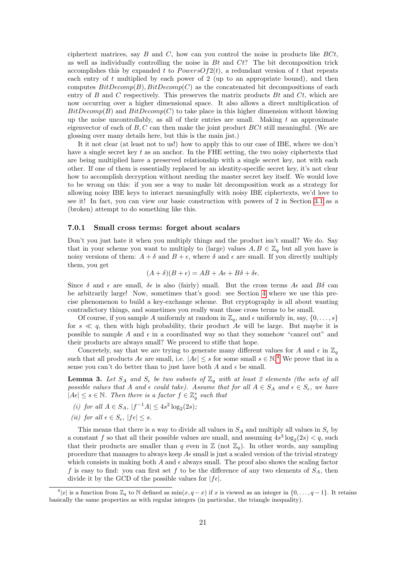ciphertext matrices, say  $B$  and  $C$ , how can you control the noise in products like  $BCt$ , as well as individually controlling the noise in  $Bt$  and  $Ct$ ? The bit decomposition trick accomplishes this by expanded t to  $PowersOf2(t)$ , a redundant version of t that repeats each entry of  $t$  multiplied by each power of  $2$  (up to an appropriate bound), and then computes  $BitDecomp(B), BitDecomp(C)$  as the concatenated bit decompositions of each entry of B and C respectively. This preserves the matrix products  $Bt$  and  $Ct$ , which are now occurring over a higher dimensional space. It also allows a direct multiplication of  $BitDecomp(B)$  and  $BitDecomp(C)$  to take place in this higher dimension without blowing up the noise uncontrollably, as all of their entries are small. Making  $t$  an approximate eigenvector of each of  $B, C$  can then make the joint product  $B C t$  still meaningful. (We are glossing over many details here, but this is the main jist.)

It it not clear (at least not to us!) how to apply this to our case of IBE, where we don't have a single secret key  $t$  as an anchor. In the FHE setting, the two noisy ciphertexts that are being multiplied have a preserved relationship with a single secret key, not with each other. If one of them is essentially replaced by an identity-specific secret key, it's not clear how to accomplish decryption without needing the master secret key itself. We would love to be wrong on this: if you see a way to make bit decomposition work as a strategy for allowing noisy IBE keys to interact meaningfully with noisy IBE ciphertexts, we'd love to see it! In fact, you can view our basic construction with powers of 2 in Section [3.1](#page-5-1) as a (broken) attempt to do something like this.

#### 7.0.1 Small cross terms: forget about scalars

Don't you just hate it when you multiply things and the product isn't small? We do. Say that in your scheme you want to multiply to (large) values  $A, B \in \mathbb{Z}_q$  but all you have is noisy versions of them:  $A + \delta$  and  $B + \epsilon$ , where  $\delta$  and  $\epsilon$  are small. If you directly multiply them, you get

$$
(A + \delta)(B + \epsilon) = AB + A\epsilon + B\delta + \delta\epsilon.
$$

Since  $\delta$  and  $\epsilon$  are small,  $\delta \epsilon$  is also (fairly) small. But the cross terms  $A\epsilon$  and  $B\delta$  can be arbitrarily large! Now, sometimes that's good: see Section [4](#page-10-0) where we use this precise phenomenon to build a key-exchange scheme. But cryptography is all about wanting contradictory things, and sometimes you really want those cross terms to be small.

Of course, if you sample A uniformly at random in  $\mathbb{Z}_q$ , and  $\epsilon$  uniformly in, say,  $\{0, \ldots, s\}$ for  $s \ll q$ , then with high probability, their product  $A\epsilon$  will be large. But maybe it is possible to sample A and  $\epsilon$  in a coordinated way so that they somehow "cancel out" and their products are always small? We proceed to stifle that hope.

Concretely, say that we are trying to generate many different values for A and  $\epsilon$  in  $\mathbb{Z}_q$ such that all products  $A\epsilon$  are small, i.e.  $|A\epsilon| \leq s$  for some small  $s \in \mathbb{N}^4$  $s \in \mathbb{N}^4$ . We prove that in a sense you can't do better than to just have both A and  $\epsilon$  be small.

**Lemma 3.** Let  $S_A$  and  $S_{\epsilon}$  be two subsets of  $\mathbb{Z}_q$  with at least 2 elements (the sets of all possible values that A and  $\epsilon$  could take). Assume that for all  $A \in S_A$  and  $\epsilon \in S_{\epsilon}$ , we have  $|A\epsilon| \leq s \in \mathbb{N}$ . Then there is a factor  $f \in \mathbb{Z}_q^*$  such that

- (i) for all  $A \in S_A$ ,  $|f^{-1}A| \leq 4s^2 \log_2(2s)$ ;
- (ii) for all  $\epsilon \in S_{\epsilon}$ ,  $|f\epsilon| \leq s$ .

This means that there is a way to divide all values in  $S_A$  and multiply all values in  $S_\epsilon$  by a constant f so that all their possible values are small, and assuming  $4s^3 \log_2(2s) < q$ , such that their products are smaller than q even in  $\mathbb{Z}$  (not  $\mathbb{Z}_q$ ). In other words, any sampling procedure that manages to always keep  $A\epsilon$  small is just a scaled version of the trivial strategy which consists in making both A and  $\epsilon$  always small. The proof also shows the scaling factor f is easy to find: you can first set f to be the difference of any two elements of  $S_A$ , then divide it by the GCD of the possible values for  $|f \epsilon|$ .

<span id="page-20-0"></span> $\mathbb{Z}_4[x]$  is a function from  $\mathbb{Z}_q$  to N defined as  $\min(x, q-x)$  if x is viewed as an integer in  $\{0, \ldots, q-1\}$ . It retains basically the same properties as with regular integers (in particular, the triangle inequality).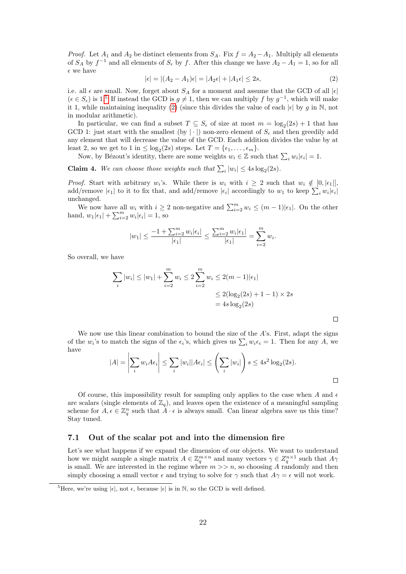*Proof.* Let  $A_1$  and  $A_2$  be distinct elements from  $S_A$ . Fix  $f = A_2 - A_1$ . Multiply all elements of  $S_A$  by  $f^{-1}$  and all elements of  $S_{\epsilon}$  by f. After this change we have  $A_2 - A_1 = 1$ , so for all  $\epsilon$  we have

<span id="page-21-1"></span>
$$
|\epsilon| = |(A_2 - A_1)\epsilon| = |A_2\epsilon| + |A_1\epsilon| \le 2s,
$$
\n(2)

i.e. all  $\epsilon$  are small. Now, forget about  $S_A$  for a moment and assume that the GCD of all  $|\epsilon|$  $(\epsilon \in S_{\epsilon})$  is 1.<sup>[5](#page-21-0)</sup> If instead the GCD is  $g \neq 1$ , then we can multiply f by  $g^{-1}$ , which will make it 1, while maintaining inequality [\(2\)](#page-21-1) (since this divides the value of each  $|\epsilon|$  by g in N, not in modular arithmetic).

In particular, we can find a subset  $T \subseteq S_{\epsilon}$  of size at most  $m = \log_2(2s) + 1$  that has GCD 1: just start with the smallest (by | · |) non-zero element of  $S_{\epsilon}$  and then greedily add any element that will decrease the value of the GCD. Each addition divides the value by at least 2, so we get to 1 in  $\leq \log_2(2s)$  steps. Let  $T = \{\epsilon_1, \ldots, \epsilon_m\}.$ 

Now, by Bézout's identity, there are some weights  $w_i \in \mathbb{Z}$  such that  $\sum_i w_i |\epsilon_i| = 1$ .

**Claim 4.** We can choose those weights such that  $\sum_i |w_i| \leq 4s \log_2(2s)$ .

*Proof.* Start with arbitrary  $w_i$ 's. While there is  $w_i$  with  $i \geq 2$  such that  $w_i \notin [0, |\epsilon_1|]$ , add/remove  $|\epsilon_1|$  to it to fix that, and add/remove  $|\epsilon_i|$  accordingly to  $w_1$  to keep  $\sum_i w_i |\epsilon_i|$ unchanged.

We now have all  $w_i$  with  $i \geq 2$  non-negative and  $\sum_{i=2}^{m} w_i \leq (m-1)|\epsilon_1|$ . On the other hand,  $w_1|\epsilon_1| + \sum_{i=2}^m w_i|\epsilon_i| = 1$ , so

$$
|w_1| \le \frac{-1 + \sum_{i=2}^m w_i |\epsilon_i|}{|\epsilon_1|} \le \frac{\sum_{i=2}^m w_i |\epsilon_1|}{|\epsilon_1|} = \sum_{i=2}^m w_i.
$$

So overall, we have

$$
\sum_{i} |w_i| \le |w_1| + \sum_{i=2}^{m} w_i \le 2 \sum_{i=2}^{m} w_i \le 2(m-1)|\epsilon_1|
$$
  

$$
\le 2(\log_2(2s) + 1 - 1) \times 2s
$$
  
= 4s log<sub>2</sub>(2s)

We now use this linear combination to bound the size of the A's. First, adapt the signs of the  $w_i$ 's to match the signs of the  $\epsilon_i$ 's, which gives us  $\sum_i w_i \epsilon_i = 1$ . Then for any A, we have

$$
|A| = \left| \sum_{i} w_i A \epsilon_i \right| \le \sum_{i} |w_i| |A \epsilon_i| \le \left( \sum_{i} |w_i| \right) s \le 4s^2 \log_2(2s).
$$

 $\Box$ 

Of course, this impossibility result for sampling only applies to the case when  $A$  and  $\epsilon$ are scalars (single elements of  $\mathbb{Z}_q$ ), and leaves open the existence of a meaningful sampling scheme for  $A, \epsilon \in \mathbb{Z}_q^n$  such that  $A \cdot \epsilon$  is always small. Can linear algebra save us this time? Stay tuned.

#### <span id="page-21-2"></span>7.1 Out of the scalar pot and into the dimension fire

Let's see what happens if we expand the dimension of our objects. We want to understand how we might sample a single matrix  $A \in \mathbb{Z}_q^{m \times n}$  and many vectors  $\gamma \in \mathbb{Z}_q^{n \times 1}$  such that  $A\gamma$ is small. We are interested in the regime where  $m \gg n$ , so choosing A randomly and then simply choosing a small vector  $\epsilon$  and trying to solve for  $\gamma$  such that  $A\gamma = \epsilon$  will not work.

<span id="page-21-0"></span><sup>&</sup>lt;sup>5</sup>Here, we're using  $|\epsilon|$ , not  $\epsilon$ , because  $|\epsilon|$  is in N, so the GCD is well defined.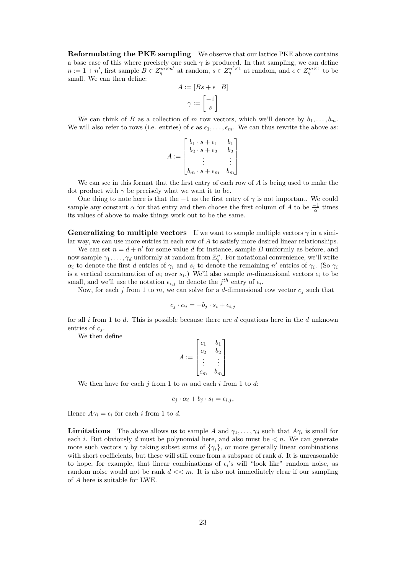Reformulating the PKE sampling We observe that our lattice PKE above contains a base case of this where precisely one such  $\gamma$  is produced. In that sampling, we can define  $n := 1 + n'$ , first sample  $B \in Z_q^{m \times n'}$  at random,  $s \in Z_q^{n' \times 1}$  at random, and  $\epsilon \in Z_q^{m \times 1}$  to be small. We can then define:

$$
A := [Bs + \epsilon | B]
$$

$$
\gamma := \begin{bmatrix} -1 \\ s \end{bmatrix}
$$

We can think of B as a collection of m row vectors, which we'll denote by  $b_1, \ldots, b_m$ . We will also refer to rows (i.e. entries) of  $\epsilon$  as  $\epsilon_1, \ldots, \epsilon_m$ . We can thus rewrite the above as:

$$
A := \begin{bmatrix} b_1 \cdot s + \epsilon_1 & b_1 \\ b_2 \cdot s + \epsilon_2 & b_2 \\ \vdots & \vdots \\ b_m \cdot s + \epsilon_m & b_m \end{bmatrix}
$$

We can see in this format that the first entry of each row of  $A$  is being used to make the dot product with  $\gamma$  be precisely what we want it to be.

One thing to note here is that the  $-1$  as the first entry of  $\gamma$  is not important. We could sample any constant  $\alpha$  for that entry and then choose the first column of A to be  $\frac{-1}{\alpha}$  times its values of above to make things work out to be the same.

**Generalizing to multiple vectors** If we want to sample multiple vectors  $\gamma$  in a similar way, we can use more entries in each row of A to satisfy more desired linear relationships.

We can set  $n = d + n'$  for some value d for instance, sample B uniformly as before, and now sample  $\gamma_1, \ldots, \gamma_d$  uniformly at random from  $\mathbb{Z}_q^n$ . For notational convenience, we'll write  $\alpha_i$  to denote the first d entries of  $\gamma_i$  and  $s_i$  to denote the remaining n' entries of  $\gamma_i$ . (So  $\gamma_i$ is a vertical concatenation of  $\alpha_i$  over  $s_i$ .) We'll also sample m-dimensional vectors  $\epsilon_i$  to be small, and we'll use the notation  $\epsilon_{i,j}$  to denote the j<sup>th</sup> entry of  $\epsilon_i$ .

Now, for each j from 1 to m, we can solve for a d-dimensional row vector  $c_j$  such that

$$
c_j \cdot \alpha_i = -b_j \cdot s_i + \epsilon_{i,j}
$$

for all i from 1 to d. This is possible because there are d equations here in the d unknown entries of  $c_i$ .

We then define

$$
A := \begin{bmatrix} c_1 & b_1 \\ c_2 & b_2 \\ \vdots & \vdots \\ c_m & b_m \end{bmatrix}
$$

We then have for each  $j$  from 1 to  $m$  and each  $i$  from 1 to  $d$ :

$$
c_j \cdot \alpha_i + b_j \cdot s_i = \epsilon_{i,j},
$$

Hence  $A\gamma_i = \epsilon_i$  for each i from 1 to d.

**Limitations** The above allows us to sample A and  $\gamma_1, \ldots, \gamma_d$  such that  $A\gamma_i$  is small for each i. But obviously d must be polynomial here, and also must be  $\lt n$ . We can generate more such vectors  $\gamma$  by taking subset sums of  $\{\gamma_i\}$ , or more generally linear combinations with short coefficients, but these will still come from a subspace of rank  $d$ . It is unreasonable to hope, for example, that linear combinations of  $\epsilon_i$ 's will "look like" random noise, as random noise would not be rank  $d \ll m$ . It is also not immediately clear if our sampling of A here is suitable for LWE.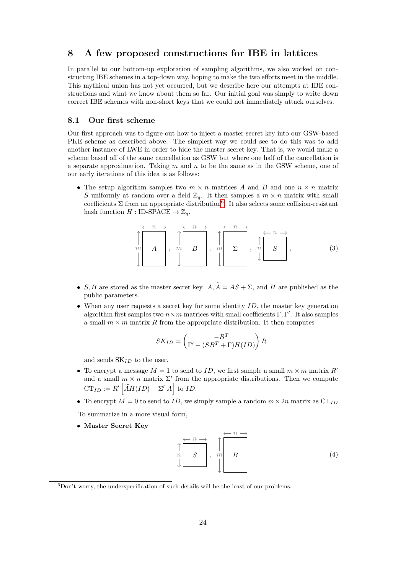### <span id="page-23-0"></span>8 A few proposed constructions for IBE in lattices

In parallel to our bottom-up exploration of sampling algorithms, we also worked on constructing IBE schemes in a top-down way, hoping to make the two efforts meet in the middle. This mythical union has not yet occurred, but we describe here our attempts at IBE constructions and what we know about them so far. Our initial goal was simply to write down correct IBE schemes with non-short keys that we could not immediately attack ourselves.

#### 8.1 Our first scheme

Our first approach was to figure out how to inject a master secret key into our GSW-based PKE scheme as described above. The simplest way we could see to do this was to add another instance of LWE in order to hide the master secret key. That is, we would make a scheme based off of the same cancellation as GSW but where one half of the cancellation is a separate approximation. Taking  $m$  and  $n$  to be the same as in the GSW scheme, one of our early iterations of this idea is as follows:

• The setup algorithm samples two  $m \times n$  matrices A and B and one  $n \times n$  matrix S uniformly at random over a field  $\mathbb{Z}_q$ . It then samples a  $m \times n$  matrix with small coefficients  $\Sigma$  from an appropriate distribution<sup>[6](#page-23-1)</sup>. It also selects some collision-resistant hash function  $H : ID\text{-SPACE} \to \mathbb{Z}_q$ .

$$
\uparrow m \rightarrow A \rightarrow m \rightarrow B \rightarrow m \rightarrow B \rightarrow m \rightarrow A \rightarrow B \rightarrow A \rightarrow B \rightarrow A \rightarrow B \rightarrow A \rightarrow B \rightarrow A \rightarrow B \rightarrow A \rightarrow B \rightarrow A \rightarrow B \rightarrow A \rightarrow B \rightarrow A \rightarrow B \rightarrow A \rightarrow B \rightarrow A \rightarrow B \rightarrow A \rightarrow B \rightarrow A \rightarrow B \rightarrow A \rightarrow B \rightarrow A \rightarrow B \rightarrow A \rightarrow B \rightarrow A \rightarrow B \rightarrow A \rightarrow B \rightarrow A \rightarrow B \rightarrow A \rightarrow B \rightarrow A \rightarrow B \rightarrow A \rightarrow B \rightarrow A \rightarrow B \rightarrow A \rightarrow B \rightarrow A \rightarrow B \rightarrow A \rightarrow B \rightarrow A \rightarrow B \rightarrow A \rightarrow B \rightarrow A \rightarrow B \rightarrow A \rightarrow B \rightarrow A \rightarrow B \rightarrow A \rightarrow B \rightarrow A \rightarrow B \rightarrow A \rightarrow B \rightarrow A \rightarrow B \rightarrow A \rightarrow B \rightarrow A \rightarrow B \rightarrow A \rightarrow B \rightarrow A \rightarrow B \rightarrow A \rightarrow B \rightarrow A \rightarrow B \rightarrow A \rightarrow B \rightarrow A \rightarrow B \rightarrow A \rightarrow B \rightarrow A \rightarrow B \rightarrow A \rightarrow B \rightarrow A \rightarrow B \rightarrow A \rightarrow B \rightarrow A \rightarrow B \rightarrow A \rightarrow B \rightarrow A \rightarrow B \rightarrow A \rightarrow B \rightarrow A \rightarrow B \rightarrow A \rightarrow B \rightarrow A \rightarrow B \rightarrow A \rightarrow B \rightarrow A \rightarrow B \rightarrow A \rightarrow B \rightarrow A \rightarrow B \rightarrow A \rightarrow B \rightarrow A \rightarrow B \rightarrow A \rightarrow B \rightarrow A \rightarrow B \rightarrow A \rightarrow B \rightarrow A \rightarrow B \rightarrow A \rightarrow B \rightarrow A \rightarrow B \rightarrow A \rightarrow B \rightarrow A \rightarrow B \rightarrow A \rightarrow B \rightarrow A \rightarrow B \rightarrow A \rightarrow B \rightarrow A \rightarrow B \rightarrow A \rightarrow B \rightarrow A \rightarrow B \rightarrow A \rightarrow B \rightarrow A \rightarrow B \rightarrow A \rightarrow B \rightarrow A \rightarrow B \rightarrow A \rightarrow B \rightarrow A \rightarrow B \rightarrow A \rightarrow B \rightarrow A \rightarrow B \rightarrow A \rightarrow B \rightarrow A \rightarrow B \rightarrow A \rightarrow B \rightarrow A \rightarrow B \rightarrow A \rightarrow B \rightarrow A \rightarrow B \rightarrow A \rightarrow B \rightarrow A \rightarrow B \rightarrow A \rightarrow B \rightarrow A \rightarrow B \rightarrow A \rightarrow B \rightarrow A \rightarrow B \rightarrow A \rightarrow B \rightarrow A \rightarrow B \rightarrow A \rightarrow B \rightarrow A \rightarrow B \rightarrow A \rightarrow B \rightarrow A \rightarrow B \rightarrow A \rightarrow B \rightarrow A \rightarrow B \rightarrow A \rightarrow B \rightarrow A \rightarrow B \rightarrow A \rightarrow B \rightarrow A \rightarrow B \rightarrow A \rightarrow B \rightarrow A \rightarrow B \rightarrow A \rightarrow B \rightarrow A \rightarrow B \rightarrow A \rightarrow B \rightarrow A \rightarrow B \rightarrow A \rightarrow B \rightarrow A \rightarrow B \rightarrow A \rightarrow B \rightarrow A \rightarrow B \rightarrow A \rightarrow B \rightarrow A \rightarrow B \rightarrow A \rightarrow B \rightarrow A \rightarrow B \rightarrow A \rightarrow B \rightarrow A \rightarrow B
$$

- S, B are stored as the master secret key.  $A, \widetilde{A} = AS + \Sigma$ , and H are published as the public parameters.
- When any user requests a secret key for some identity  $ID$ , the master key generation algorithm first samples two  $n \times m$  matrices with small coefficients  $\Gamma, \Gamma'$ . It also samples a small  $m \times m$  matrix R from the appropriate distribution. It then computes

$$
SK_{ID} = \begin{pmatrix} -B^T \\ \Gamma' + (SB^T + \Gamma)H(ID) \end{pmatrix} R
$$

and sends  $SK_{ID}$  to the user.

- To encrypt a message  $M = 1$  to send to ID, we first sample a small  $m \times m$  matrix R' and a small  $m \times n$  matrix  $\Sigma'$  from the appropriate distributions. Then we compute  $CT_{ID} := R' \left[ \widetilde{A}H(ID) + \Sigma' | A \right]$  to *ID*.
- To encrypt  $M = 0$  to send to ID, we simply sample a random  $m \times 2n$  matrix as  $CT_{ID}$

To summarize in a more visual form,

• Master Secret Key

$$
\uparrow \qquad \qquad \uparrow \qquad \qquad \uparrow \qquad \qquad \uparrow \qquad \qquad \uparrow \qquad \qquad \uparrow \qquad \qquad \uparrow
$$
\n
$$
\downarrow \qquad \qquad \downarrow \qquad \qquad \qquad \uparrow \qquad \qquad \qquad \uparrow
$$
\n
$$
\downarrow \qquad \qquad \downarrow \qquad \qquad \qquad \qquad \uparrow
$$
\n
$$
\downarrow \qquad \qquad \qquad \uparrow
$$
\n
$$
\qquad \qquad \downarrow
$$
\n
$$
\qquad \qquad \downarrow
$$
\n
$$
\qquad \qquad \downarrow
$$
\n
$$
\qquad \qquad \downarrow
$$
\n
$$
\qquad \qquad \downarrow
$$
\n
$$
\qquad \qquad \downarrow
$$
\n
$$
\qquad \qquad \downarrow
$$
\n
$$
\qquad \qquad \downarrow
$$
\n
$$
\qquad \qquad \downarrow
$$
\n
$$
\qquad \qquad \downarrow
$$
\n
$$
\qquad \qquad \downarrow
$$
\n
$$
\qquad \qquad \downarrow
$$
\n
$$
\qquad \qquad \downarrow
$$
\n
$$
\qquad \qquad \downarrow
$$
\n
$$
\qquad \qquad \downarrow
$$
\n
$$
\qquad \qquad \downarrow
$$
\n
$$
\qquad \qquad \downarrow
$$
\n
$$
\qquad \qquad \downarrow
$$
\n
$$
\qquad \qquad \downarrow
$$
\n
$$
\qquad \qquad \downarrow
$$
\n
$$
\qquad \qquad \downarrow
$$
\n
$$
\qquad \qquad \downarrow
$$
\n
$$
\qquad \qquad \downarrow
$$
\n
$$
\qquad \qquad \downarrow
$$
\n
$$
\qquad \qquad \downarrow
$$
\n
$$
\qquad \qquad \downarrow
$$
\n
$$
\qquad \qquad \downarrow
$$
\n
$$
\qquad \qquad \downarrow
$$
\n
$$
\qquad \qquad \downarrow
$$
\n
$$
\qquad \qquad \downarrow
$$
\n
$$
\qquad \qquad \downarrow
$$
\n
$$
\qquad \qquad \downarrow
$$
\n
$$
\qquad \qquad \downarrow
$$
\n

<span id="page-23-1"></span> ${}^{6}$ Don't worry, the underspecification of such details will be the least of our problems.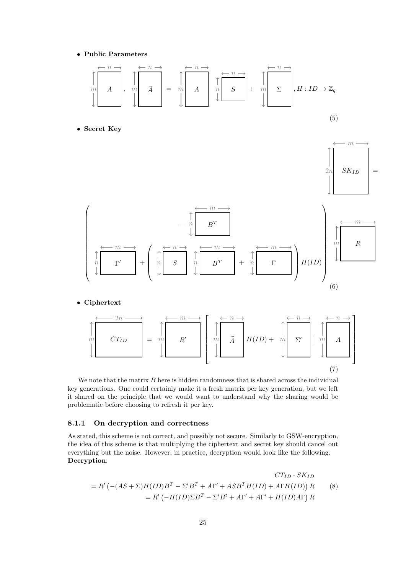• Public Parameters



$$
\prod_{m}^{n} \boxed{CT_{ID}} = \prod_{m}^{n} \boxed{R'} \boxed{\prod_{m}^{n} \boxed{\widetilde{A}} \boxed{H(ID) + \prod_{m}^{n} \boxed{\Sigma'}} \boxed{\prod_{m}^{n} \boxed{A}}
$$
\n(7)

We note that the matrix  $B$  here is hidden randomness that is shared across the individual key generations. One could certainly make it a fresh matrix per key generation, but we left it shared on the principle that we would want to understand why the sharing would be problematic before choosing to refresh it per key.

#### 8.1.1 On decryption and correctness

As stated, this scheme is not correct, and possibly not secure. Similarly to GSW-encryption, the idea of this scheme is that multiplying the ciphertext and secret key should cancel out everything but the noise. However, in practice, decryption would look like the following. Decryption:

$$
CT_{ID} \cdot SK_{ID}
$$
  
=  $R' \left( -(AS + \Sigma)H(ID)B^T - \Sigma'B^T + A\Gamma' + ASB^TH(ID) + A\Gamma H(ID) \right) R$  (8)  
=  $R' \left( -H(ID)\Sigma B^T - \Sigma'B^t + A\Gamma' + A\Gamma' + H(ID)A\Gamma \right) R$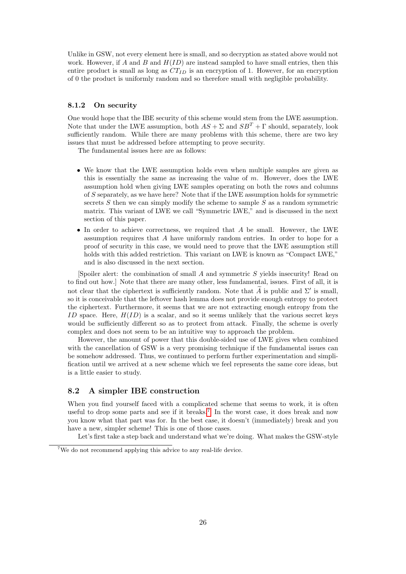Unlike in GSW, not every element here is small, and so decryption as stated above would not work. However, if A and B and  $H(ID)$  are instead sampled to have small entries, then this entire product is small as long as  $CT_{ID}$  is an encryption of 1. However, for an encryption of 0 the product is uniformly random and so therefore small with negligible probability.

#### 8.1.2 On security

One would hope that the IBE security of this scheme would stem from the LWE assumption. Note that under the LWE assumption, both  $AS + \Sigma$  and  $SB^T + \Gamma$  should, separately, look sufficiently random. While there are many problems with this scheme, there are two key issues that must be addressed before attempting to prove security.

The fundamental issues here are as follows:

- We know that the LWE assumption holds even when multiple samples are given as this is essentially the same as increasing the value of  $m$ . However, does the LWE assumption hold when giving LWE samples operating on both the rows and columns of S separately, as we have here? Note that if the LWE assumption holds for symmetric secrets  $S$  then we can simply modify the scheme to sample  $S$  as a random symmetric matrix. This variant of LWE we call "Symmetric LWE," and is discussed in the next section of this paper.
- In order to achieve correctness, we required that  $A$  be small. However, the LWE assumption requires that A have uniformly random entries. In order to hope for a proof of security in this case, we would need to prove that the LWE assumption still holds with this added restriction. This variant on LWE is known as "Compact LWE," and is also discussed in the next section.

[Spoiler alert: the combination of small A and symmetric S yields insecurity! Read on to find out how.] Note that there are many other, less fundamental, issues. First of all, it is not clear that the ciphertext is sufficiently random. Note that  $\tilde{A}$  is public and  $\Sigma'$  is small, so it is conceivable that the leftover hash lemma does not provide enough entropy to protect the ciphertext. Furthermore, it seems that we are not extracting enough entropy from the ID space. Here,  $H(ID)$  is a scalar, and so it seems unlikely that the various secret keys would be sufficiently different so as to protect from attack. Finally, the scheme is overly complex and does not seem to be an intuitive way to approach the problem.

However, the amount of power that this double-sided use of LWE gives when combined with the cancellation of GSW is a very promising technique if the fundamental issues can be somehow addressed. Thus, we continued to perform further experimentation and simplification until we arrived at a new scheme which we feel represents the same core ideas, but is a little easier to study.

### <span id="page-25-1"></span>8.2 A simpler IBE construction

When you find yourself faced with a complicated scheme that seems to work, it is often useful to drop some parts and see if it breaks.[7](#page-25-0) In the worst case, it does break and now you know what that part was for. In the best case, it doesn't (immediately) break and you have a new, simpler scheme! This is one of those cases.

Let's first take a step back and understand what we're doing. What makes the GSW-style

<span id="page-25-0"></span><sup>7</sup>We do not recommend applying this advice to any real-life device.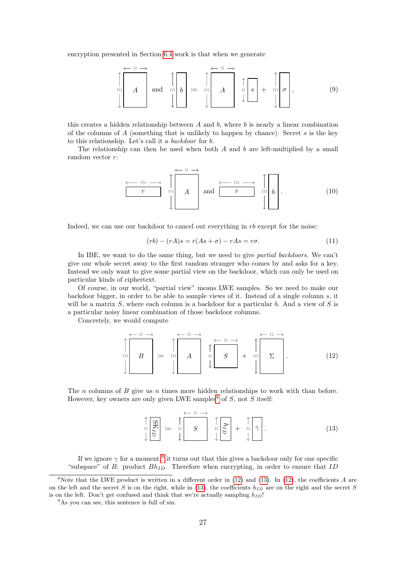encryption presented in Section [6.4](#page-19-1) work is that when we generate



this creates a hidden relationship between  $A$  and  $b$ , where  $b$  is nearly a linear combination of the columns of  $A$  (something that is unlikely to happen by chance). Secret  $s$  is the key to this relationship. Let's call it a backdoor for b.

The relationship can then be used when both A and b are left-multiplied by a small random vector r:

$$
\begin{array}{c}\n\leftarrow m \longrightarrow \\
\begin{array}{c}\n\uparrow \\
\uparrow\n\end{array} & m \\
\downarrow \\
\downarrow\n\end{array}\n\quad \text{and} \quad\n\begin{array}{c}\n\leftarrow m \longrightarrow \\
\uparrow \\
\uparrow\n\end{array} & m \\
\downarrow\n\end{array}\n\quad\n\begin{array}{c}\n\uparrow \\
\uparrow \\
\downarrow\n\end{array}\n\quad\n\begin{array}{c}\n\downarrow \\
\downarrow\n\end{array} \tag{10}
$$

Indeed, we can use our backdoor to cancel out everything in  $rb$  except for the noise:

$$
(rb) - (rA)s = r(As + \sigma) - rAs = r\sigma.
$$
\n<sup>(11)</sup>

In IBE, we want to do the same thing, but we need to give partial backdoors. We can't give our whole secret away to the first random stranger who comes by and asks for a key. Instead we only want to give some partial view on the backdoor, which can only be used on particular kinds of ciphertext.

Of course, in our world, "partial view" means LWE samples. So we need to make our backdoor bigger, in order to be able to sample views of it. Instead of a single column s, it will be a matrix  $S$ , where each column is a backdoor for a particular b. And a view of  $S$  is a particular noisy linear combination of those backdoor columns.

Concretely, we would compute

<span id="page-26-2"></span>m B n n := m A n n n S n + m Σ n n . (12)

The n columns of B give us n times more hidden relationships to work with than before. However, key owners are only given LWE samples<sup>[8](#page-26-0)</sup> of  $S$ , not  $S$  itself:

<span id="page-26-3"></span>
$$
\prod_{n=1}^{\infty} \frac{1}{n} \mathbb{E} \left[ \mathbf{S} \right] = \prod_{n=1}^{\infty} \left[ \mathbf{S} \right] \prod_{n=1}^{\infty} \left[ \mathbf{S} \right] + \prod_{n=1}^{\infty} \left[ \mathbf{S} \right]. \tag{13}
$$

If we ignore  $\gamma$  for a moment,<sup>[9](#page-26-1)</sup> it turns out that this gives a backdoor only for one specific "subspace" of B: product  $Bh_{ID}$ . Therefore when encrypting, in order to ensure that ID

<span id="page-26-0"></span><sup>&</sup>lt;sup>8</sup>Note that the LWE product is written in a different order in [\(12\)](#page-26-2) and [\(13\)](#page-26-3). In (12), the coefficients  $A$  are on the left and the secret S is on the right, while in [\(13\)](#page-26-3), the coefficients  $h_{ID}$  are on the right and the secret S is on the left. Don't get confused and think that we're actually sampling  $h_{ID}$ !

<span id="page-26-1"></span><sup>&</sup>lt;sup>9</sup>As you can see, this sentence is full of sin.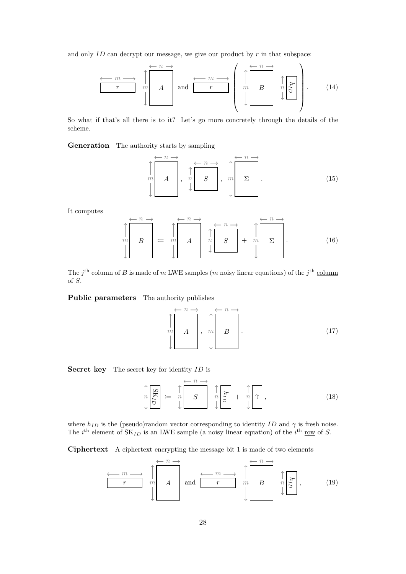and only  $ID$  can decrypt our message, we give our product by  $r$  in that subspace:

$$
\begin{array}{c}\n\begin{array}{c}\n\longleftarrow & m \longrightarrow \\
\hline\nr & m \\
\end{array}\n\end{array}\n\begin{array}{c}\n\begin{array}{c}\n\longleftarrow & n \longrightarrow \\
\hline\nA & \text{and} \\
\end{array}\n\end{array}\n\begin{array}{c}\n\longleftarrow & m \longrightarrow \\
\hline\nr & \text{and} \\
\end{array}\n\begin{array}{c}\n\begin{array}{c}\n\longleftarrow & n \longrightarrow \\
\hline\nm & B \\
\end{array}\n\end{array}\n\begin{array}{c}\n\uparrow \\
\hline\n\uparrow \\
\end{array}\n\begin{array}{c}\n\downarrow \\
\end{array}\n\end{array} \tag{14}
$$

So what if that's all there is to it? Let's go more concretely through the details of the scheme.

Generation The authority starts by sampling

m A n , n S n n , m Σ n . (15)

It computes

$$
\left\| \begin{array}{c} \leftarrow n \rightarrow \\ m \\ B \end{array} \right\| \coloneqq m \left\{ A \begin{array}{c} \leftarrow n \rightarrow \\ n \\ A \end{array} \right\} \left\| \begin{array}{c} \leftarrow n \rightarrow \\ S \end{array} \right\| + m \left\{ \begin{array}{c} \leftarrow n \rightarrow \\ \Sigma \end{array} \right\} \right\} \tag{16}
$$

The  $j^{\text{th}}$  column of B is made of m LWE samples (m noisy linear equations) of the  $j^{\text{th}}$  column of S.

Public parameters The authority publishes

$$
\uparrow \qquad m \qquad A \qquad m \qquad B \qquad (17)
$$

Secret key The secret key for identity ID is

$$
\begin{array}{c}\n\uparrow \\
n \\
\downarrow\n\end{array} \mathop{\mathop{:}}= \begin{array}{c}\n\uparrow \\
n \\
\downarrow\n\end{array} \mathop{\mathop{:}}\n\mathop{\mathop{:}}\n\left(\begin{array}{c}\n\leftarrow n \rightarrow \\
\downarrow n \\
\downarrow\n\end{array}\right) \begin{array}{c}\n\uparrow \\
n \\
\downarrow\n\end{array} \mathop{\mathop{:}}\n\left(\begin{array}{c}\n\uparrow \\
n \\
\downarrow\n\end{array}\right) \begin{array}{c}\n\uparrow \\
\uparrow n \\
\downarrow\n\end{array}
$$
\n(18)

where  $h_{ID}$  is the (pseudo)random vector corresponding to identity ID and  $\gamma$  is fresh noise. The *i*<sup>th</sup> element of  $SK_{ID}$  is an LWE sample (a noisy linear equation) of the *i*<sup>th</sup> <u>row</u> of *S*.

Ciphertext A ciphertext encrypting the message bit 1 is made of two elements

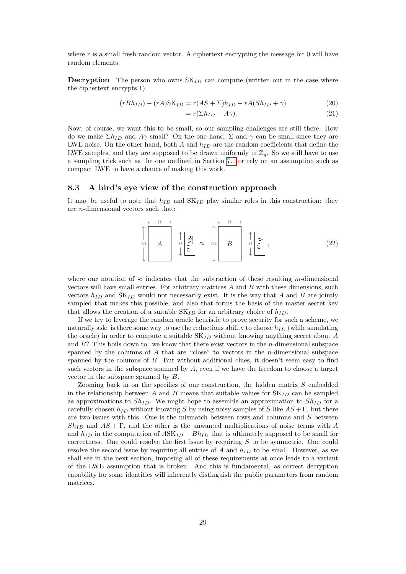where  $r$  is a small fresh random vector. A ciphertext encrypting the message bit 0 will have random elements.

**Decryption** The person who owns  $SK_{ID}$  can compute (written out in the case where the ciphertext encrypts 1):

$$
(rBh_{ID}) - (rA)SK_{ID} = r(AS + \Sigma)h_{ID} - rA(Sh_{ID} + \gamma)
$$
\n
$$
(20)
$$

$$
= r(\Sigma h_{ID} - A\gamma). \tag{21}
$$

Now, of course, we want this to be small, so our sampling challenges are still there. How do we make  $\Sigma h_{ID}$  and  $A\gamma$  small? On the one hand,  $\Sigma$  and  $\gamma$  can be small since they are LWE noise. On the other hand, both  $A$  and  $h_{ID}$  are the random coefficients that define the LWE samples, and they are supposed to be drawn uniformly in  $\mathbb{Z}_q$ . So we still have to use a sampling trick such as the one outlined in Section [7.1](#page-21-2) or rely on an assumption such as compact LWE to have a chance of making this work.

#### 8.3 A bird's eye view of the construction approach

It may be useful to note that  $h_{ID}$  and  $SK_{ID}$  play similar roles in this construction: they are n-dimensional vectors such that:

$$
\prod_{m=1}^{\infty} A \qquad \prod_{n=1}^{\infty} \prod_{\alpha=1}^{\infty} \approx \prod_{m=1}^{\infty} B \qquad \prod_{n=1}^{\infty} \frac{1}{n} \tag{22}
$$

where our notation of  $\approx$  indicates that the subtraction of these resulting m-dimensional vectors will have small entries. For arbitrary matrices  $A$  and  $B$  with these dimensions, such vectors  $h_{ID}$  and  $SK_{ID}$  would not necessarily exist. It is the way that A and B are jointly sampled that makes this possible, and also that forms the basis of the master secret key that allows the creation of a suitable  $SK_{ID}$  for an arbitrary choice of  $h_{ID}$ .

If we try to leverage the random oracle heuristic to prove security for such a scheme, we naturally ask: is there some way to use the reductions ability to choose  $h_{ID}$  (while simulating the oracle) in order to compute a suitable  $SK_{ID}$  without knowing anything secret about A and  $B$ ? This boils down to: we know that there exist vectors in the *n*-dimensional subspace spanned by the columns of  $A$  that are "close" to vectors in the  $n$ -dimensional subspace spanned by the columns of  $B$ . But without additional clues, it doesn't seem easy to find such vectors in the subspace spanned by  $A$ , even if we have the freedom to choose a target vector in the subspace spanned by B.

Zooming back in on the specifics of our construction, the hidden matrix S embedded in the relationship between A and B means that suitable values for  $SK_{ID}$  can be sampled as approximations to  $Sh_{ID}$ . We might hope to assemble an approximation to  $Sh_{ID}$  for a carefully chosen  $h_{ID}$  without knowing S by using noisy samples of S like  $AS + \Gamma$ , but there are two issues with this. One is the mismatch between rows and columns and  $S$  between  $Sh_{ID}$  and  $AS + \Gamma$ , and the other is the unwanted multiplications of noise terms with A and  $h_{ID}$  in the computation of  $ASK_{ID} - Bh_{ID}$  that is ultimately supposed to be small for correctness. One could resolve the first issue by requiring  $S$  to be symmetric. One could resolve the second issue by requiring all entries of  $A$  and  $h_{ID}$  to be small. However, as we shall see in the next section, imposing all of these requirements at once leads to a variant of the LWE assumption that is broken. And this is fundamental, as correct decryption capability for some identities will inherently distinguish the public parameters from random matrices.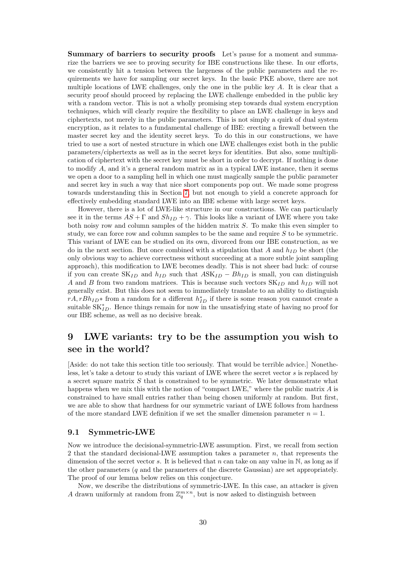Summary of barriers to security proofs Let's pause for a moment and summarize the barriers we see to proving security for IBE constructions like these. In our efforts, we consistently hit a tension between the largeness of the public parameters and the requirements we have for sampling our secret keys. In the basic PKE above, there are not multiple locations of LWE challenges, only the one in the public key A. It is clear that a security proof should proceed by replacing the LWE challenge embedded in the public key with a random vector. This is not a wholly promising step towards dual system encryption techniques, which will clearly require the flexibility to place an LWE challenge in keys and ciphertexts, not merely in the public parameters. This is not simply a quirk of dual system encryption, as it relates to a fundamental challenge of IBE: erecting a firewall between the master secret key and the identity secret keys. To do this in our constructions, we have tried to use a sort of nested structure in which one LWE challenges exist both in the public parameters/ciphertexts as well as in the secret keys for identities. But also, some multiplication of ciphertext with the secret key must be short in order to decrypt. If nothing is done to modify  $A$ , and it's a general random matrix as in a typical LWE instance, then it seems we open a door to a sampling hell in which one must magically sample the public parameter and secret key in such a way that nice short components pop out. We made some progress towards understanding this in Section [7,](#page-19-0) but not enough to yield a concrete approach for effectively embedding standard LWE into an IBE scheme with large secret keys.

However, there is a lot of LWE-like structure in our constructions. We can particularly see it in the terms  $AS + \Gamma$  and  $Sh_{ID} + \gamma$ . This looks like a variant of LWE where you take both noisy row and column samples of the hidden matrix S. To make this even simpler to study, we can force row and column samples to be the same and require S to be symmetric. This variant of LWE can be studied on its own, divorced from our IBE construction, as we do in the next section. But once combined with a stipulation that A and  $h_{ID}$  be short (the only obvious way to achieve correctness without succeeding at a more subtle joint sampling approach), this modification to LWE becomes deadly. This is not sheer bad luck: of course if you can create  $SK_{ID}$  and  $h_{ID}$  such that  $ASK_{ID} - Bh_{ID}$  is small, you can distinguish A and B from two random matrices. This is because such vectors  $SK_{ID}$  and  $h_{ID}$  will not generally exist. But this does not seem to immediately translate to an ability to distinguish  $rA, rBh_{ID}$ <sup>\*</sup> from a random for a different  $h_{ID}^*$  if there is some reason you cannot create a suitable  $SK_{ID}^*$ . Hence things remain for now in the unsatisfying state of having no proof for our IBE scheme, as well as no decisive break.

## <span id="page-29-0"></span>9 LWE variants: try to be the assumption you wish to see in the world?

[Aside: do not take this section title too seriously. That would be terrible advice.] Nonetheless, let's take a detour to study this variant of LWE where the secret vector s is replaced by a secret square matrix  $S$  that is constrained to be symmetric. We later demonstrate what happens when we mix this with the notion of "compact LWE," where the public matrix  $A$  is constrained to have small entries rather than being chosen uniformly at random. But first, we are able to show that hardness for our symmetric variant of LWE follows from hardness of the more standard LWE definition if we set the smaller dimension parameter  $n = 1$ .

#### 9.1 Symmetric-LWE

Now we introduce the decisional-symmetric-LWE assumption. First, we recall from section 2 that the standard decisional-LWE assumption takes a parameter n, that represents the dimension of the secret vector s. It is believed that n can take on any value in  $\mathbb{N}$ , as long as if the other parameters  $(q \text{ and the parameters of the discrete Gaussian})$  are set appropriately. The proof of our lemma below relies on this conjecture.

Now, we describe the distributions of symmetric-LWE. In this case, an attacker is given A drawn uniformly at random from  $\mathbb{Z}_q^{m \times n}$ , but is now asked to distinguish between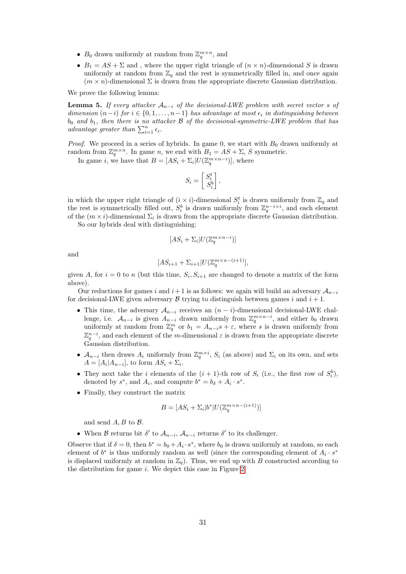- $B_0$  drawn uniformly at random from  $\mathbb{Z}_q^{m \times n}$ , and
- $B_1 = AS + \Sigma$  and, where the upper right triangle of  $(n \times n)$ -dimensional S is drawn uniformly at random from  $\mathbb{Z}_q$  and the rest is symmetrically filled in, and once again  $(m \times n)$ -dimensional  $\Sigma$  is drawn from the appropriate discrete Gaussian distribution.

We prove the following lemma:

**Lemma 5.** If every attacker  $A_{n-i}$  of the decisional-LWE problem with secret vector s of dimension  $(n-i)$  for  $i \in \{0,1,\ldots,n-1\}$  has advantage at most  $\epsilon_i$  in distinguishing between  $b_0$  and  $b_1$ , then there is no attacker  $\beta$  of the decisional-symmetric-LWE problem that has advantage greater than  $\sum_{i=1}^{n} \epsilon_i$ .

*Proof.* We proceed in a series of hybrids. In game 0, we start with  $B_0$  drawn uniformly at random from  $\mathbb{Z}_q^{m \times n}$ . In game n, we end with  $B_1 = AS + \Sigma$ , S symmetric.

In game *i*, we have that  $B = [AS_i + \Sigma_i]U(\mathbb{Z}_q^{m \times n-i})$ , where

$$
S_i = \begin{bmatrix} S_i^t \\ S_i^b \end{bmatrix},
$$

in which the upper right triangle of  $(i \times i)$ -dimensional  $S_i^t$  is drawn uniformly from  $\mathbb{Z}_q$  and the rest is symmetrically filled out,  $S_i^b$  is drawn uniformly from  $\mathbb{Z}_q^{n-i\times i}$ , and each element of the  $(m \times i)$ -dimensional  $\Sigma_i$  is drawn from the appropriate discrete Gaussian distribution.

So our hybrids deal with distinguishing:

$$
[AS_i + \Sigma_i | U(\mathbb{Z}_q^{m \times n-i})]
$$

and

$$
[AS_{i+1} + \Sigma_{i+1} | U(\mathbb{Z}_q^{m \times n-(i+1)}],
$$

given A, for  $i = 0$  to n (but this time,  $S_i, S_{i+1}$  are changed to denote a matrix of the form above).

Our reductions for games i and  $i+1$  is as follows: we again will build an adversary  $A_{n-i}$ for decisional-LWE given adversary B trying to distinguish between games i and  $i + 1$ .

- This time, the adversary  $\mathcal{A}_{n-i}$  receives an  $(n-i)$ -dimensional decisional-LWE challenge, i.e.  $\mathcal{A}_{n-i}$  is given  $A_{n-i}$  drawn uniformly from  $\mathbb{Z}_q^{m \times n-i}$ , and either  $b_0$  drawn uniformly at random from  $\mathbb{Z}_q^m$  or  $b_1 = A_{n-i}s + \varepsilon$ , where s is drawn uniformly from  $\mathbb{Z}_q^{n-i}$ , and each element of the m-dimensional  $\varepsilon$  is drawn from the appropriate discrete Gaussian distribution.
- $\mathcal{A}_{n-i}$  then draws  $A_i$  uniformly from  $\mathbb{Z}_q^{m \times i}$ ,  $S_i$  (as above) and  $\Sigma_i$  on its own, and sets  $A = [A_i | A_{n-i}],$  to form  $AS_i + \Sigma_i$ .
- They next take the *i* elements of the  $(i + 1)$ -th row of  $S_i$  (i.e., the first row of  $S_i^b$ ), denoted by  $s^*$ , and  $A_i$ , and compute  $b^* = b_\delta + A_i \cdot s^*$ .
- Finally, they construct the matrix

$$
B = [AS_i + \Sigma_i | b^* | U(\mathbb{Z}_q^{m \times n - (i+1)})]
$$

and send  $A, B$  to  $B$ .

• When B returns bit  $\delta'$  to  $\mathcal{A}_{n-i}$ ,  $\mathcal{A}_{n-i}$  returns  $\delta'$  to its challenger.

Observe that if  $\delta = 0$ , then  $b^* = b_0 + A_i \cdot s^*$ , where  $b_0$  is drawn uniformly at random, so each element of  $b^*$  is thus uniformly random as well (since the corresponding element of  $A_i \cdot s^*$ is displaced uniformly at random in  $\mathbb{Z}_q$ . Thus, we end up with B constructed according to the distribution for game  $i$ . We depict this case in Figure [2.](#page-31-0)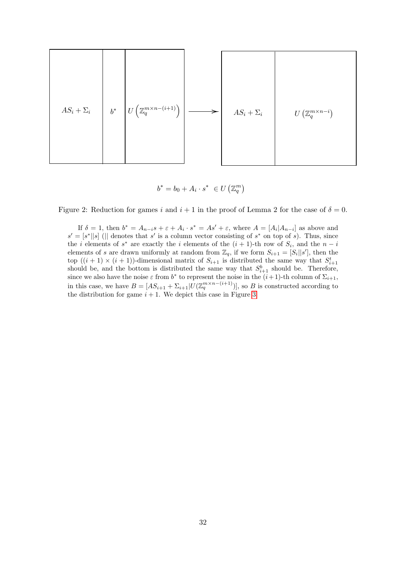

$$
b^* = b_0 + A_i \cdot s^* \in U\left(\mathbb{Z}_q^m\right)
$$

<span id="page-31-0"></span>Figure 2: Reduction for games i and  $i + 1$  in the proof of Lemma 2 for the case of  $\delta = 0$ .

If  $\delta = 1$ , then  $b^* = A_{n-i}s + \varepsilon + A_i \cdot s^* = As' + \varepsilon$ , where  $A = [A_i | A_{n-i}]$  as above and  $s' = [s^*||s]$  (|| denotes that s' is a column vector consisting of s<sup>\*</sup> on top of s). Thus, since the *i* elements of  $s^*$  are exactly the *i* elements of the  $(i + 1)$ -th row of  $S_i$ , and the  $n - i$ elements of s are drawn uniformly at random from  $\mathbb{Z}_q$ , if we form  $S_{i+1} = [S_i || s']$ , then the top  $((i + 1) \times (i + 1))$ -dimensional matrix of  $S_{i+1}$  is distributed the same way that  $S_{i+1}^t$ should be, and the bottom is distributed the same way that  $S_{i+1}^b$  should be. Therefore, since we also have the noise  $\varepsilon$  from  $b^*$  to represent the noise in the  $(i+1)$ -th column of  $\Sigma_{i+1}$ , in this case, we have  $B = [AS_{i+1} + \Sigma_{i+1} | U(\mathbb{Z}_q^{m \times n-(i+1)})]$ , so B is constructed according to the distribution for game  $i + 1$ . We depict this case in Figure [3](#page-32-1)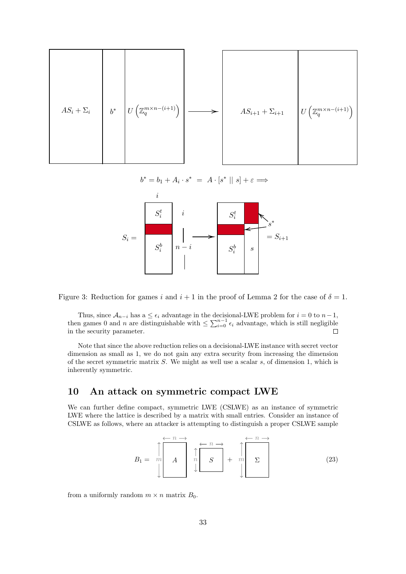

<span id="page-32-1"></span>
$$
b^*=b_1+A_i\cdot s^*\ =\ A\cdot [s^*\mid\mid s]+\varepsilon\Longrightarrow
$$





Thus, since  $A_{n-i}$  has a  $\leq \epsilon_i$  advantage in the decisional-LWE problem for  $i = 0$  to  $n-1$ , then games 0 and *n* are distinguishable with  $\leq \sum_{i=0}^{n-1} \epsilon_i$  advantage, which is still negligible in the security parameter.

Note that since the above reduction relies on a decisional-LWE instance with secret vector dimension as small as 1, we do not gain any extra security from increasing the dimension of the secret symmetric matrix  $S$ . We might as well use a scalar  $s$ , of dimension 1, which is inherently symmetric.

### <span id="page-32-0"></span>10 An attack on symmetric compact LWE

We can further define compact, symmetric LWE (CSLWE) as an instance of symmetric LWE where the lattice is described by a matrix with small entries. Consider an instance of CSLWE as follows, where an attacker is attempting to distinguish a proper CSLWE sample

$$
B_1 = \begin{array}{c} \uparrow \\ m \\ \downarrow \end{array} \qquad A \qquad \uparrow \\ A \qquad \uparrow \\ \downarrow \qquad B \qquad + \qquad m \\ \downarrow \qquad \qquad \downarrow \qquad \qquad \qquad (23)
$$

from a uniformly random  $m \times n$  matrix  $B_0$ .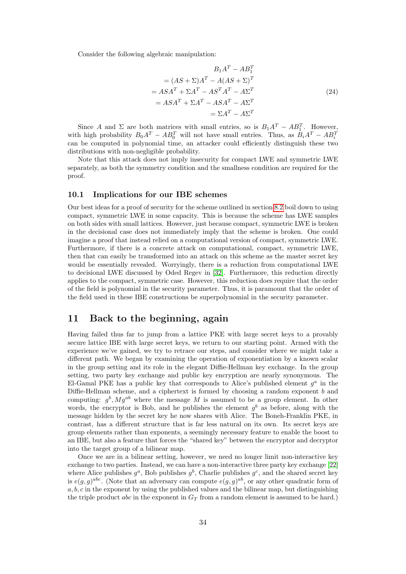Consider the following algebraic manipulation:

$$
B_1 A^T - A B_1^T
$$
  
=  $(AS + \Sigma)A^T - A(AS + \Sigma)^T$   
=  $ASA^T + \Sigma A^T - AS^T A^T - A \Sigma^T$   
=  $ASA^T + \Sigma A^T - ASA^T - A \Sigma^T$   
=  $\Sigma A^T - A \Sigma^T$  (24)

Since A and  $\Sigma$  are both matrices with small entries, so is  $B_1A^T - AB_1^T$ . However, with high probability  $B_0A^T - AB_0^T$  will not have small entries. Thus, as  $B_iA^T - AB_i^T$ can be computed in polynomial time, an attacker could efficiently distinguish these two distributions with non-negligible probability.

Note that this attack does not imply insecurity for compact LWE and symmetric LWE separately, as both the symmetry condition and the smallness condition are required for the proof.

#### 10.1 Implications for our IBE schemes

Our best ideas for a proof of security for the scheme outlined in section [8.2](#page-25-1) boil down to using compact, symmetric LWE in some capacity. This is because the scheme has LWE samples on both sides with small lattices. However, just because compact, symmetric LWE is broken in the decisional case does not immediately imply that the scheme is broken. One could imagine a proof that instead relied on a computational version of compact, symmetric LWE. Furthermore, if there is a concrete attack on computational, compact, symmetric LWE, then that can easily be transformed into an attack on this scheme as the master secret key would be essentially revealed. Worryingly, there is a reduction from computational LWE to decisional LWE discussed by Oded Regev in [\[32\]](#page-38-21). Furthermore, this reduction directly applies to the compact, symmetric case. However, this reduction does require that the order of the field is polynomial in the security parameter. Thus, it is paramount that the order of the field used in these IBE constructions be superpolynomial in the security parameter.

### <span id="page-33-0"></span>11 Back to the beginning, again

Having failed thus far to jump from a lattice PKE with large secret keys to a provably secure lattice IBE with large secret keys, we return to our starting point. Armed with the experience we've gained, we try to retrace our steps, and consider where we might take a different path. We began by examining the operation of exponentiation by a known scalar in the group setting and its role in the elegant Diffie-Hellman key exchange. In the group setting, two party key exchange and public key encryption are nearly synonymous. The El-Gamal PKE has a public key that corresponds to Alice's published element  $g^a$  in the Diffie-Hellman scheme, and a ciphertext is formed by choosing a random exponent b and computing:  $g^b$ ,  $Mg^{ab}$  where the message M is assumed to be a group element. In other words, the encryptor is Bob, and he publishes the element  $g<sup>b</sup>$  as before, along with the message hidden by the secret key he now shares with Alice. The Boneh-Franklin PKE, in contrast, has a different structure that is far less natural on its own. Its secret keys are group elements rather than exponents, a seemingly necessary feature to enable the boost to an IBE, but also a feature that forces the "shared key" between the encryptor and decryptor into the target group of a bilinear map.

Once we are in a bilinear setting, however, we need no longer limit non-interactive key exchange to two parties. Instead, we can have a non-interactive three party key exchange [\[22\]](#page-38-22) where Alice publishes  $g^a$ , Bob publishes  $g^b$ , Charlie publishes  $g^c$ , and the shared secret key is  $e(g, g)^{abc}$ . (Note that an adversary can compute  $e(g, g)^{ab}$ , or any other quadratic form of  $a, b, c$  in the exponent by using the published values and the bilinear map, but distinguishing the triple product abc in the exponent in  $G_T$  from a random element is assumed to be hard.)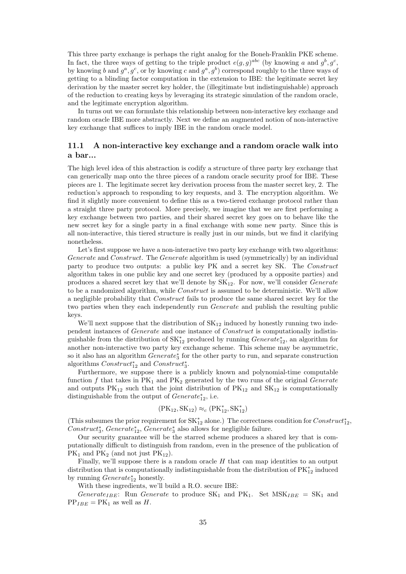This three party exchange is perhaps the right analog for the Boneh-Franklin PKE scheme. In fact, the three ways of getting to the triple product  $e(g, g)^{abc}$  (by knowing a and  $g^b, g^c$ , by knowing b and  $g^a, g^c$ , or by knowing c and  $g^a, g^b$ ) correspond roughly to the three ways of getting to a blinding factor computation in the extension to IBE: the legitimate secret key derivation by the master secret key holder, the (illegitimate but indistinguishable) approach of the reduction to creating keys by leveraging its strategic simulation of the random oracle, and the legitimate encryption algorithm.

In turns out we can formulate this relationship between non-interactive key exchange and random oracle IBE more abstractly. Next we define an augmented notion of non-interactive key exchange that suffices to imply IBE in the random oracle model.

### 11.1 A non-interactive key exchange and a random oracle walk into a bar...

The high level idea of this abstraction is codify a structure of three party key exchange that can generically map onto the three pieces of a random oracle security proof for IBE. These pieces are 1. The legitimate secret key derivation process from the master secret key, 2. The reduction's approach to responding to key requests, and 3. The encryption algorithm. We find it slightly more convenient to define this as a two-tiered exchange protocol rather than a straight three party protocol. More precisely, we imagine that we are first performing a key exchange between two parties, and their shared secret key goes on to behave like the new secret key for a single party in a final exchange with some new party. Since this is all non-interactive, this tiered structure is really just in our minds, but we find it clarifying nonetheless.

Let's first suppose we have a non-interactive two party key exchange with two algorithms: Generate and Construct. The Generate algorithm is used (symmetrically) by an individual party to produce two outputs: a public key PK and a secret key SK. The Construct algorithm takes in one public key and one secret key (produced by a opposite parties) and produces a shared secret key that we'll denote by  $SK_{12}$ . For now, we'll consider *Generate* to be a randomized algorithm, while *Construct* is assumed to be deterministic. We'll allow a negligible probability that Construct fails to produce the same shared secret key for the two parties when they each independently run *Generate* and publish the resulting public keys.

We'll next suppose that the distribution of  $SK_{12}$  induced by honestly running two independent instances of Generate and one instance of Construct is computationally indistinguishable from the distribution of  $SK^*_{12}$  produced by running  $Generator^*_{12}$ , an algorithm for another non-interactive two party key exchange scheme. This scheme may be asymmetric, so it also has an algorithm  $\mathit{Generate}^*_3$  for the other party to run, and separate construction algorithms  $Construct_{12}^*$  and  $Construct_3^*$ .

Furthermore, we suppose there is a publicly known and polynomial-time computable function f that takes in  $PK_1$  and  $PK_2$  generated by the two runs of the original Generate and outputs  $PK_{12}$  such that the joint distribution of  $PK_{12}$  and  $SK_{12}$  is computationally distinguishable from the output of  $\mathit{Generate}^*_{12}$ , i.e.

$$
(\rm{PK}_{12},\rm{SK}_{12})\approx_c(\rm{PK}^*_{12},\rm{SK}^*_{12})
$$

(This subsumes the prior requirement for  $SK_{12}^*$  alone.) The correctness condition for  $Construct_{12}^*$ ,  $Construct_3^*, Generate_{12}^*, Generate_3^*$  also allows for negligible failure.

Our security guarantee will be the starred scheme produces a shared key that is computationally difficult to distinguish from random, even in the presence of the publication of  $PK_1$  and  $PK_2$  (and not just  $PK_{12}$ ).

Finally, we'll suppose there is a random oracle  $H$  that can map identities to an output distribution that is computationally indistinguishable from the distribution of  $\mathrm{PK}^\ast_{12}$  induced by running  $\mathit{Generate}^*_{12}$  honestly.

With these ingredients, we'll build a R.O. secure IBE:

Generate<sub>IBE</sub>: Run Generate to produce  $SK_1$  and  $PK_1$ . Set  $MSK_{IBE} = SK_1$  and  $PP_{IBE} = PK_1$  as well as H.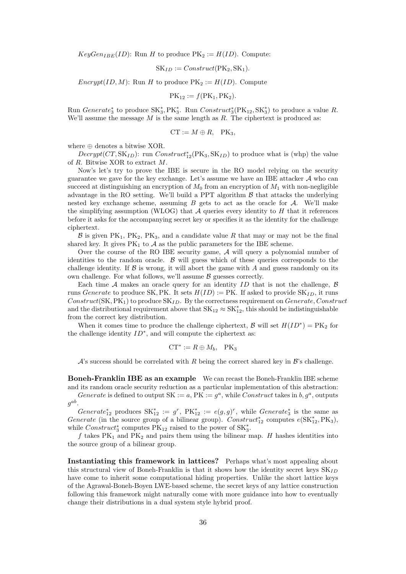$KeyGen_{IBE}(ID)$ : Run H to produce  $PK_2 := H(ID)$ . Compute:

$$
SK_{ID} := Construct(PK_2, SK_1).
$$

Encrypt(ID, M): Run H to produce  $PK_2 := H(ID)$ . Compute

$$
PK_{12} := f(PK_1, PK_2).
$$

Run Generate<sup>\*</sup><sub>3</sub> to produce  $SK^*_3, PK^*_3$ . Run  $Construct^*_3(PK_{12}, SK^*_3)$  to produce a value R. We'll assume the message  $M$  is the same length as  $R$ . The ciphertext is produced as:

$$
\mathrm{CT} := M \oplus R, \quad \mathrm{PK}_3,
$$

where ⊕ denotes a bitwise XOR.

 $Decrypt(CT, SK_{ID})$ : run  $Construct_{12}^*(PK_3, SK_{ID})$  to produce what is (whp) the value of R. Bitwise XOR to extract M.

Now's let's try to prove the IBE is secure in the RO model relying on the security guarantee we gave for the key exchange. Let's assume we have an IBE attacker  $\mathcal A$  who can succeed at distinguishing an encryption of  $M_0$  from an encryption of  $M_1$  with non-negligible advantage in the RO setting. We'll build a PPT algorithm  $\beta$  that attacks the underlying nested key exchange scheme, assuming  $B$  gets to act as the oracle for  $A$ . We'll make the simplifying assumption (WLOG) that  $A$  queries every identity to  $H$  that it references before it asks for the accompanying secret key or specifies it as the identity for the challenge ciphertext.

 $\mathcal B$  is given PK<sub>1</sub>, PK<sub>2</sub>, PK<sub>3</sub>, and a candidate value R that may or may not be the final shared key. It gives  $PK_1$  to  $A$  as the public parameters for the IBE scheme.

Over the course of the RO IBE security game, A will query a polynomial number of identities to the random oracle.  $\beta$  will guess which of these queries corresponds to the challenge identity. If  $\beta$  is wrong, it will abort the game with A and guess randomly on its own challenge. For what follows, we'll assume  $\beta$  guesses correctly.

Each time A makes an oracle query for an identity ID that is not the challenge,  $\beta$ runs Generate to produce SK, PK. It sets  $H(ID) := PK$ . If asked to provide SK<sub>ID</sub>, it runs Construct(SK,  $PK_1$ ) to produce  $SK_{ID}$ . By the correctness requirement on *Generate, Construct* and the distributional requirement above that  $SK_{12} \approx SK_{12}^*$ , this should be indistinguishable from the correct key distribution.

When it comes time to produce the challenge ciphertext,  $\mathcal{B}$  will set  $H(ID^*) = PK_2$  for the challenge identity  $ID^*$ , and will compute the ciphertext as:

$$
CT^* := R \oplus M_b, \quad PK_3
$$

 $\mathcal{A}$ 's success should be correlated with R being the correct shared key in  $\mathcal{B}$ 's challenge.

Boneh-Franklin IBE as an example We can recast the Boneh-Franklin IBE scheme and its random oracle security reduction as a particular implementation of this abstraction: Generate is defined to output SK :=  $a$ , PK :=  $g<sup>a</sup>$ , while Construct takes in  $b$ ,  $g<sup>a</sup>$ , outputs

 $g^{ab}$ .

Generate<sub>12</sub> produces  $SK_{12}^* := g^r$ ,  $PK_{12}^* := e(g,g)^r$ , while Generate<sub>3</sub><sup>\*</sup> is the same as Generate (in the source group of a bilinear group).  $Construct^*_{12}$  computes  $e(SK^*_{12}, PK_3)$ , while  $Construct_3^*$  computes  $PK_{12}$  raised to the power of  $SK_3^*$ .

f takes  $PK_1$  and  $PK_2$  and pairs them using the bilinear map. H hashes identities into the source group of a bilinear group.

Instantiating this framework in lattices? Perhaps what's most appealing about this structural view of Boneh-Franklin is that it shows how the identity secret keys  $SK_{ID}$ have come to inherit some computational hiding properties. Unlike the short lattice keys of the Agrawal-Boneh-Boyen LWE-based scheme, the secret keys of any lattice construction following this framework might naturally come with more guidance into how to eventually change their distributions in a dual system style hybrid proof.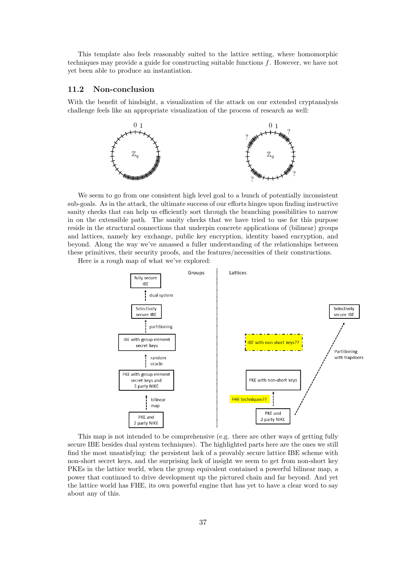This template also feels reasonably suited to the lattice setting, where homomorphic techniques may provide a guide for constructing suitable functions  $f$ . However, we have not yet been able to produce an instantiation.

#### 11.2 Non-conclusion

With the benefit of hindsight, a visualization of the attack on our extended cryptanalysis challenge feels like an appropriate visualization of the process of research as well:



We seem to go from one consistent high level goal to a bunch of potentially inconsistent sub-goals. As in the attack, the ultimate success of our efforts hinges upon finding instructive sanity checks that can help us efficiently sort through the branching possibilities to narrow in on the extensible path. The sanity checks that we have tried to use for this purpose reside in the structural connections that underpin concrete applications of (bilinear) groups and lattices, namely key exchange, public key encryption, identity based encryption, and beyond. Along the way we've amassed a fuller understanding of the relationships between these primitives, their security proofs, and the features/necessities of their constructions.

Here is a rough map of what we've explored:



This map is not intended to be comprehensive (e.g. there are other ways of getting fully secure IBE besides dual system techniques). The highlighted parts here are the ones we still find the most unsatisfying: the persistent lack of a provably secure lattice IBE scheme with non-short secret keys, and the surprising lack of insight we seem to get from non-short key PKEs in the lattice world, when the group equivalent contained a powerful bilinear map, a power that continued to drive development up the pictured chain and far beyond. And yet the lattice world has FHE, its own powerful engine that has yet to have a clear word to say about any of this.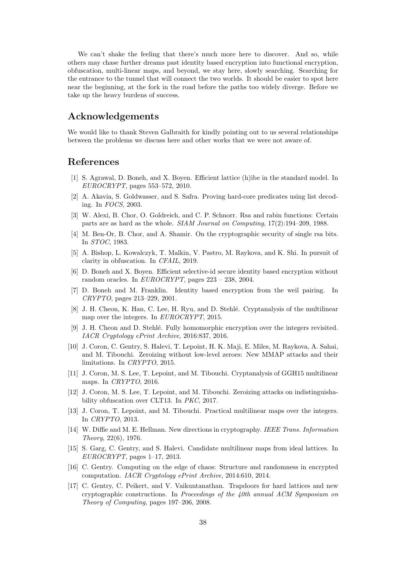We can't shake the feeling that there's much more here to discover. And so, while others may chase further dreams past identity based encryption into functional encryption, obfuscation, multi-linear maps, and beyond, we stay here, slowly searching. Searching for the entrance to the tunnel that will connect the two worlds. It should be easier to spot here near the beginning, at the fork in the road before the paths too widely diverge. Before we take up the heavy burdens of success.

### Acknowledgements

We would like to thank Steven Galbraith for kindly pointing out to us several relationships between the problems we discuss here and other works that we were not aware of.

### References

- <span id="page-37-3"></span>[1] S. Agrawal, D. Boneh, and X. Boyen. Efficient lattice (h)ibe in the standard model. In EUROCRYPT, pages 553–572, 2010.
- <span id="page-37-13"></span>[2] A. Akavia, S. Goldwasser, and S. Safra. Proving hard-core predicates using list decoding. In FOCS, 2003.
- <span id="page-37-12"></span>[3] W. Alexi, B. Chor, O. Goldreich, and C. P. Schnorr. Rsa and rabin functions: Certain parts are as hard as the whole. SIAM Journal on Computing, 17(2):194–209, 1988.
- <span id="page-37-11"></span>[4] M. Ben-Or, B. Chor, and A. Shamir. On the cryptographic security of single rsa bits. In STOC, 1983.
- <span id="page-37-15"></span>[5] A. Bishop, L. Kowalczyk, T. Malkin, V. Pastro, M. Raykova, and K. Shi. In pursuit of clarity in obfuscation. In CFAIL, 2019.
- <span id="page-37-2"></span>[6] D. Boneh and X. Boyen. Efficient selective-id secure identity based encryption without random oracles. In EUROCRYPT, pages 223 – 238, 2004.
- <span id="page-37-0"></span>[7] D. Boneh and M. Franklin. Identity based encryption from the weil pairing. In CRYPTO, pages 213–229, 2001.
- <span id="page-37-6"></span>[8] J. H. Cheon, K. Han, C. Lee, H. Ryu, and D. Stehl´e. Cryptanalysis of the multilinear map over the integers. In EUROCRYPT, 2015.
- <span id="page-37-14"></span>[9] J. H. Cheon and D. Stehl´e. Fully homomorphic encryption over the integers revisited. IACR Cryptology ePrint Archive, 2016:837, 2016.
- <span id="page-37-7"></span>[10] J. Coron, C. Gentry, S. Halevi, T. Lepoint, H. K. Maji, E. Miles, M. Raykova, A. Sahai, and M. Tibouchi. Zeroizing without low-level zeroes: New MMAP attacks and their limitations. In CRYPTO, 2015.
- <span id="page-37-8"></span>[11] J. Coron, M. S. Lee, T. Lepoint, and M. Tibouchi. Cryptanalysis of GGH15 multilinear maps. In CRYPTO, 2016.
- <span id="page-37-9"></span>[12] J. Coron, M. S. Lee, T. Lepoint, and M. Tibouchi. Zeroizing attacks on indistinguishability obfuscation over CLT13. In PKC, 2017.
- <span id="page-37-5"></span>[13] J. Coron, T. Lepoint, and M. Tibouchi. Practical multilinear maps over the integers. In CRYPTO, 2013.
- <span id="page-37-10"></span>[14] W. Diffie and M. E. Hellman. New directions in cryptography. IEEE Trans. Information Theory, 22(6), 1976.
- <span id="page-37-4"></span>[15] S. Garg, C. Gentry, and S. Halevi. Candidate multilinear maps from ideal lattices. In  $EUROCRYPT$ , pages 1–17, 2013.
- <span id="page-37-16"></span>[16] C. Gentry. Computing on the edge of chaos: Structure and randomness in encrypted computation. IACR Cryptology ePrint Archive, 2014:610, 2014.
- <span id="page-37-1"></span>[17] C. Gentry, C. Peikert, and V. Vaikuntanathan. Trapdoors for hard lattices and new cryptographic constructions. In Proceedings of the 40th annual ACM Symposium on Theory of Computing, pages 197–206, 2008.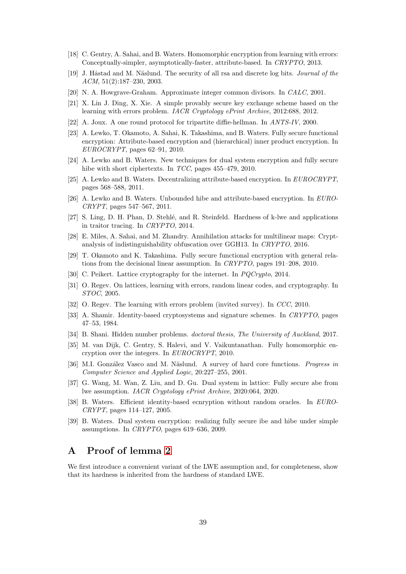- <span id="page-38-1"></span>[18] C. Gentry, A. Sahai, and B. Waters. Homomorphic encryption from learning with errors: Conceptually-simpler, asymptotically-faster, attribute-based. In CRYPTO, 2013.
- <span id="page-38-4"></span>[19] J. Hastad and M. Näslund. The security of all rsa and discrete log bits. *Journal of the* ACM, 51(2):187–230, 2003.
- <span id="page-38-5"></span>[20] N. A. Howgrave-Graham. Approximate integer common divisors. In CALC, 2001.
- <span id="page-38-7"></span>[21] X. Lin J. Ding, X. Xie. A simple provably secure key exchange scheme based on the learning with errors problem. IACR Cryptology ePrint Archive, 2012:688, 2012.
- <span id="page-38-22"></span>[22] A. Joux. A one round protocol for tripartite diffie-hellman. In ANTS-IV, 2000.
- <span id="page-38-15"></span>[23] A. Lewko, T. Okamoto, A. Sahai, K. Takashima, and B. Waters. Fully secure functional encryption: Attribute-based encryption and (hierarchical) inner product encryption. In  $EUROCRYPT$ , pages 62–91, 2010.
- <span id="page-38-14"></span>[24] A. Lewko and B. Waters. New techniques for dual system encryption and fully secure hibe with short ciphertexts. In TCC, pages 455–479, 2010.
- <span id="page-38-18"></span>[25] A. Lewko and B. Waters. Decentralizing attribute-based encryption. In EUROCRYPT, pages 568–588, 2011.
- <span id="page-38-17"></span>[26] A. Lewko and B. Waters. Unbounded hibe and attribute-based encryption. In EURO-CRYPT, pages 547–567, 2011.
- <span id="page-38-19"></span>[27] S. Ling, D. H. Phan, D. Stehlé, and R. Steinfeld. Hardness of k-lwe and applications in traitor tracing. In CRYPTO, 2014.
- <span id="page-38-0"></span>[28] E. Miles, A. Sahai, and M. Zhandry. Annihilation attacks for multilinear maps: Cryptanalysis of indistinguishability obfuscation over GGH13. In CRYPTO, 2016.
- <span id="page-38-16"></span>[29] T. Okamoto and K. Takashima. Fully secure functional encryption with general relations from the decisional linear assumption. In CRYPTO, pages 191–208, 2010.
- <span id="page-38-8"></span>[30] C. Peikert. Lattice cryptography for the internet. In *PQCrypto*, 2014.
- <span id="page-38-20"></span>[31] O. Regev. On lattices, learning with errors, random linear codes, and cryptography. In STOC, 2005.
- <span id="page-38-21"></span>[32] O. Regev. The learning with errors problem (invited survey). In CCC, 2010.
- <span id="page-38-11"></span>[33] A. Shamir. Identity-based cryptosystems and signature schemes. In CRYPTO, pages 47–53, 1984.
- <span id="page-38-2"></span>[34] B. Shani. Hidden number problems. doctoral thesis, The University of Auckland, 2017.
- <span id="page-38-6"></span>[35] M. van Dijk, C. Gentry, S. Halevi, and V. Vaikuntanathan. Fully homomorphic encryption over the integers. In EUROCRYPT, 2010.
- <span id="page-38-3"></span>[36] M.I. González Vasco and M. Näslund. A survey of hard core functions. *Progress in* Computer Science and Applied Logic, 20:227–255, 2001.
- <span id="page-38-10"></span>[37] G. Wang, M. Wan, Z. Liu, and D. Gu. Dual system in lattice: Fully secure abe from lwe assumption. IACR Cryptology ePrint Archive, 2020:064, 2020.
- <span id="page-38-12"></span>[38] B. Waters. Efficient identity-based ecnryption without random oracles. In EURO-CRYPT, pages 114–127, 2005.
- <span id="page-38-13"></span>[39] B. Waters. Dual system encryption: realizing fully secure ibe and hibe under simple assumptions. In CRYPTO, pages 619–636, 2009.

### <span id="page-38-9"></span>A Proof of lemma [2](#page-12-1)

We first introduce a convenient variant of the LWE assumption and, for completeness, show that its hardness is inherited from the hardness of standard LWE.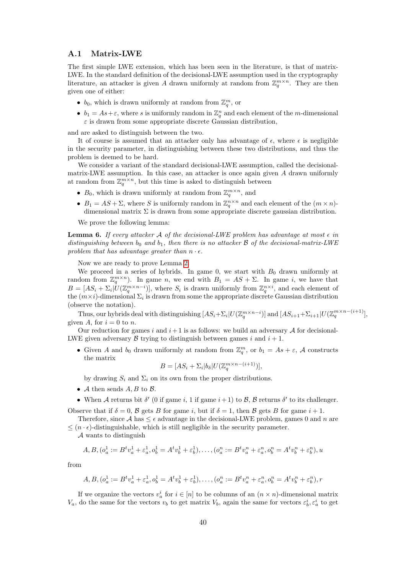#### <span id="page-39-0"></span>A.1 Matrix-LWE

The first simple LWE extension, which has been seen in the literature, is that of matrix-LWE. In the standard definition of the decisional-LWE assumption used in the cryptography literature, an attacker is given A drawn uniformly at random from  $\mathbb{Z}_q^{m \times n}$ . They are then given one of either:

- $b_0$ , which is drawn uniformly at random from  $\mathbb{Z}_q^m$ , or
- $b_1 = As + \varepsilon$ , where s is uniformly random in  $\mathbb{Z}_q^n$  and each element of the m-dimensional  $\varepsilon$  is drawn from some appropriate discrete Gaussian distribution,

and are asked to distinguish between the two.

It of course is assumed that an attacker only has advantage of  $\epsilon$ , where  $\epsilon$  is negligible in the security parameter, in distinguishing between these two distributions, and thus the problem is deemed to be hard.

We consider a variant of the standard decisional-LWE assumption, called the decisionalmatrix-LWE assumption. In this case, an attacker is once again given A drawn uniformly at random from  $\mathbb{Z}_q^{m \times n}$ , but this time is asked to distinguish between

- $B_0$ , which is drawn uniformly at random from  $\mathbb{Z}_q^{m \times n}$ , and
- $B_1 = AS + \Sigma$ , where S is uniformly random in  $\mathbb{Z}_q^{n \times n}$  and each element of the  $(m \times n)$ dimensional matrix  $\Sigma$  is drawn from some appropriate discrete gaussian distribution.

We prove the following lemma:

**Lemma 6.** If every attacker A of the decisional-LWE problem has advantage at most  $\epsilon$  in distinguishing between  $b_0$  and  $b_1$ , then there is no attacker  $\beta$  of the decisional-matrix-LWE problem that has advantage greater than  $n \cdot \epsilon$ .

Now we are ready to prove Lemma [2.](#page-12-1)

We proceed in a series of hybrids. In game 0, we start with  $B_0$  drawn uniformly at random from  $\mathbb{Z}_q^{m \times n}$ ). In game n, we end with  $B_1 = AS + \Sigma$ . In game i, we have that  $B=[AS_i+\Sigma_i]\dot{U}(\mathbb{Z}_q^{m\times n-i})],$  where  $S_i$  is drawn uniformly from  $\mathbb{Z}_q^{n\times i}$ , and each element of the  $(m \times i)$ -dimensional  $\Sigma_i$  is drawn from some the appropriate discrete Gaussian distribution (observe the notation).

Thus, our hybrids deal with distinguishing  $[AS_i + \sum_i |U(\mathbb{Z}_q^{m \times n-i})]$  and  $[AS_{i+1} + \sum_{i+1} |U(\mathbb{Z}_q^{m \times n-(i+1)}],$ given A, for  $i = 0$  to n.

Our reduction for games i and  $i+1$  is as follows: we build an adversary A for decisional-LWE given adversary  $\beta$  trying to distinguish between games i and  $i + 1$ .

• Given A and  $b_0$  drawn uniformly at random from  $\mathbb{Z}_q^m$ , or  $b_1 = As + \varepsilon$ , A constructs the matrix

$$
B = [AS_i + \Sigma_i | b_\delta | U(\mathbb{Z}_q^{m \times n - (i+1)})],
$$

by drawing  $S_i$  and  $\Sigma_i$  on its own from the proper distributions.

- A then sends  $A, B$  to  $B$ .
- When A returns bit  $\delta'$  (0 if game i, 1 if game  $i+1$ ) to B, B returns  $\delta'$  to its challenger.

Observe that if  $\delta = 0$ , B gets B for game i, but if  $\delta = 1$ , then B gets B for game  $i + 1$ .

Therefore, since A has  $\leq \epsilon$  advantage in the decisional-LWE problem, games 0 and n are  $\leq (n \cdot \epsilon)$ -distinguishable, which is still negligible in the security parameter.

A wants to distinguish

$$
A, B, (o_a^1 := B^t v_a^1 + \varepsilon_a^1, o_b^1 = A^t v_b^1 + \varepsilon_b^1), \dots, (o_a^n := B^t v_a^n + \varepsilon_a^n, o_b^n = A^t v_b^n + \varepsilon_b^n), u
$$

from

$$
A, B, (o_a^1 := B^t v_a^1 + \varepsilon_a^1, o_b^1 = A^t v_b^1 + \varepsilon_b^1), \dots, (o_a^n := B^t v_a^n + \varepsilon_a^n, o_b^n = A^t v_b^n + \varepsilon_b^n), r
$$

If we organize the vectors  $v_a^i$  for  $i \in [n]$  to be columns of an  $(n \times n)$ -dimensional matrix  $V_a$ , do the same for the vectors  $v_b$  to get matrix  $V_b$ , again the same for vectors  $\varepsilon_b^i$ ,  $\varepsilon_a^i$  to get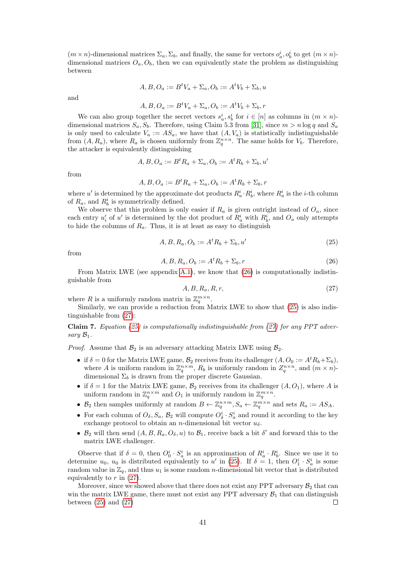$(m \times n)$ -dimensional matrices  $\Sigma_a$ ,  $\Sigma_b$ , and finally, the same for vectors  $o_a^i$ ,  $o_b^i$  to get  $(m \times n)$ dimensional matrices  $O_a$ ,  $O_b$ , then we can equivalently state the problem as distinguishing between

$$
A, B, O_a := B^t V_a + \Sigma_a, O_b := A^t V_b + \Sigma_b, u
$$

and

$$
A, B, O_a := B^t V_a + \Sigma_a, O_b := A^t V_b + \Sigma_b, r
$$

We can also group together the secret vectors  $s_a^i, s_b^i$  for  $i \in [n]$  as columns in  $(m \times n)$ dimensional matrices  $S_a$ ,  $S_b$ . Therefore, using Claim 5.3 from [\[31\]](#page-38-20), since  $m > n \log q$  and  $S_a$ is only used to calculate  $V_a := AS_a$ , we have that  $(A, V_a)$  is statistically indistinguishable from  $(A, R_a)$ , where  $R_a$  is chosen uniformly from  $\mathbb{Z}_q^{n \times n}$ . The same holds for  $V_b$ . Therefore, the attacker is equivalently distinguishing

$$
A, B, O_a := B^t R_a + \Sigma_a, O_b := A^t R_b + \Sigma_b, u'
$$

from

$$
A, B, O_a := B^t R_a + \Sigma_a, O_b := A^t R_b + \Sigma_b, r
$$

where u' is determined by the approximate dot products  $R_a^i \cdot R_b^i$ , where  $R_a^i$  is the *i*-th column of  $R_a$ , and  $R_b^i$  is symmetrically defined.

We observe that this problem is only easier if  $R_a$  is given outright instead of  $O_a$ , since each entry  $u'_i$  of u' is determined by the dot product of  $R_a^i$  with  $R_b^i$ , and  $O_a$  only attempts to hide the columns of  $R_a$ . Thus, it is at least as easy to distinguish

<span id="page-40-1"></span>
$$
A, B, R_a, O_b := A^t R_b + \Sigma_b, u'
$$
\n
$$
(25)
$$

from

<span id="page-40-0"></span>
$$
A, B, R_a, O_b := A^t R_b + \Sigma_b, r \tag{26}
$$

From Matrix LWE (see appendix [A.1\)](#page-39-0), we know that [\(26\)](#page-40-0) is computationally indistinguishable from

<span id="page-40-2"></span>
$$
A, B, R_a, R, r,\tag{27}
$$

where R is a uniformly random matrix in  $\mathbb{Z}_q^{m \times n}$ .

Similarly, we can provide a reduction from Matrix LWE to show that [\(25\)](#page-40-1) is also indistinguishable from [\(27\)](#page-40-2):

Claim 7. Equation [\(25\)](#page-40-1) is computationally indistinguishable from [\(27\)](#page-40-2) for any PPT adversary  $\mathcal{B}_1$ .

*Proof.* Assume that  $\mathcal{B}_2$  is an adversary attacking Matrix LWE using  $\mathcal{B}_2$ .

- if  $\delta = 0$  for the Matrix LWE game,  $\mathcal{B}_2$  receives from its challenger  $(A, O_0 := A^t R_b + \Sigma_b)$ , where A is uniform random in  $\mathbb{Z}_q^{n \times m}$ ,  $R_b$  is uniformly random in  $\mathbb{Z}_q^{n \times n}$ , and  $(m \times n)$ . dimensional  $\Sigma_b$  is drawn from the proper discrete Gaussian.
- if  $\delta = 1$  for the Matrix LWE game,  $\mathcal{B}_2$  receives from its challenger  $(A, O_1)$ , where A is uniform random in  $\mathbb{Z}_q^{n \times m}$  and  $O_1$  is uniformly random in  $\mathbb{Z}_q^{m \times n}$ .
- $\mathcal{B}_2$  then samples uniformly at random  $B \leftarrow \mathbb{Z}_q^{n \times m}, S_a \leftarrow \mathbb{Z}_q^{m \times n}$  and sets  $R_a := AS_A$ .
- For each column of  $O_\delta$ ,  $S_a$ ,  $\mathcal{B}_2$  will compute  $O_\delta^i \cdot S_a^i$  and round it according to the key exchange protocol to obtain an n-dimensional bit vector  $u_{\delta}$ .
- $\mathcal{B}_2$  will then send  $(A, B, R_a, O_\delta, u)$  to  $\mathcal{B}_1$ , receive back a bit  $\delta'$  and forward this to the matrix LWE challenger.

Observe that if  $\delta = 0$ , then  $O_0^i \cdot S_a^i$  is an approximation of  $R_a^i \cdot R_b^i$ . Since we use it to determine  $u_0$ ,  $u_0$  is distributed equivalently to u' in [\(25\)](#page-40-1). If  $\delta = 1$ , then  $O_1^i \cdot S_a^i$  is some random value in  $\mathbb{Z}_q$ , and thus  $u_1$  is some random *n*-dimensional bit vector that is distributed equivalently to  $r$  in  $(27)$ .

Moreover, since we showed above that there does not exist any PPT adversary  $B_2$  that can win the matrix LWE game, there must not exist any PPT adversary  $B_1$  that can distinguish between  $(25)$  and  $(27)$  $\Box$